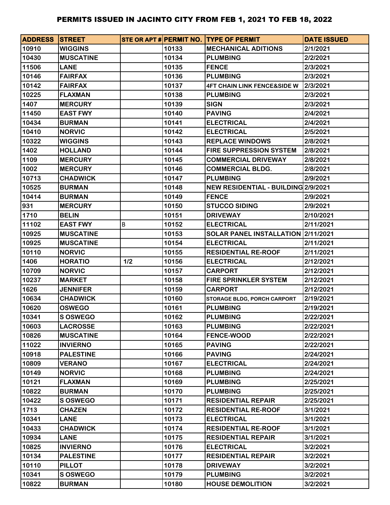| <b>ADDRESS STREET</b> |                  |     |       | STE OR APT # PERMIT NO. TYPE OF PERMIT | <b>DATE ISSUED</b> |
|-----------------------|------------------|-----|-------|----------------------------------------|--------------------|
| 10910                 | <b>WIGGINS</b>   |     | 10133 | <b>MECHANICAL ADITIONS</b>             | 2/1/2021           |
| 10430                 | <b>MUSCATINE</b> |     | 10134 | <b>PLUMBING</b>                        | 2/2/2021           |
| 11506                 | <b>LANE</b>      |     | 10135 | <b>FENCE</b>                           | 2/3/2021           |
| 10146                 | <b>FAIRFAX</b>   |     | 10136 | <b>PLUMBING</b>                        | 2/3/2021           |
| 10142                 | <b>FAIRFAX</b>   |     | 10137 | <b>4FT CHAIN LINK FENCE&amp;SIDE W</b> | 2/3/2021           |
| 10225                 | <b>FLAXMAN</b>   |     | 10138 | <b>PLUMBING</b>                        | 2/3/2021           |
| 1407                  | <b>MERCURY</b>   |     | 10139 | <b>SIGN</b>                            | 2/3/2021           |
| 11450                 | <b>EAST FWY</b>  |     | 10140 | <b>PAVING</b>                          | 2/4/2021           |
| 10434                 | <b>BURMAN</b>    |     | 10141 | <b>ELECTRICAL</b>                      | 2/4/2021           |
| 10410                 | <b>NORVIC</b>    |     | 10142 | <b>ELECTRICAL</b>                      | 2/5/2021           |
| 10322                 | <b>WIGGINS</b>   |     | 10143 | <b>REPLACE WINDOWS</b>                 | 2/8/2021           |
| 1402                  | <b>HOLLAND</b>   |     | 10144 | <b>FIRE SUPPRESSION SYSTEM</b>         | 2/8/2021           |
| 1109                  | <b>MERCURY</b>   |     | 10145 | <b>COMMERCIAL DRIVEWAY</b>             | 2/8/2021           |
| 1002                  | <b>MERCURY</b>   |     | 10146 | <b>COMMERCIAL BLDG.</b>                | 2/8/2021           |
| 10713                 | <b>CHADWICK</b>  |     | 10147 | <b>PLUMBING</b>                        | 2/9/2021           |
| 10525                 | <b>BURMAN</b>    |     | 10148 | NEW RESIDENTIAL - BUILDING 2/9/2021    |                    |
| 10414                 | <b>BURMAN</b>    |     | 10149 | <b>FENCE</b>                           | 2/9/2021           |
| 931                   | <b>MERCURY</b>   |     | 10150 | <b>STUCCO SIDING</b>                   | 2/9/2021           |
| 1710                  | <b>BELIN</b>     |     | 10151 | <b>DRIVEWAY</b>                        | 2/10/2021          |
| 11102                 | <b>EAST FWY</b>  | В   | 10152 | <b>ELECTRICAL</b>                      | 2/11/2021          |
| 10925                 | <b>MUSCATINE</b> |     | 10153 | SOLAR PANEL INSTALLATION 2/11/2021     |                    |
| 10925                 | <b>MUSCATINE</b> |     | 10154 | <b>ELECTRICAL</b>                      | 2/11/2021          |
| 10110                 | <b>NORVIC</b>    |     | 10155 | <b>RESIDENTIAL RE-ROOF</b>             | 2/11/2021          |
| 1406                  | <b>HORATIO</b>   | 1/2 | 10156 | <b>ELECTRICAL</b>                      | 2/12/2021          |
| 10709                 | <b>NORVIC</b>    |     | 10157 | <b>CARPORT</b>                         | 2/12/2021          |
| 10237                 | <b>MARKET</b>    |     | 10158 | <b>FIRE SPRINKLER SYSTEM</b>           | 2/12/2021          |
| 1626                  | <b>JENNIFER</b>  |     | 10159 | <b>CARPORT</b>                         | 2/12/2021          |
| 10634                 | <b>CHADWICK</b>  |     | 10160 | STORAGE BLDG, PORCH CARPORT            | 2/19/2021          |
| 10620                 | <b>OSWEGO</b>    |     | 10161 | <b>PLUMBING</b>                        | 2/19/2021          |
| 10341                 | <b>S OSWEGO</b>  |     | 10162 | <b>PLUMBING</b>                        | 2/22/2021          |
| 10603                 | <b>LACROSSE</b>  |     | 10163 | <b>PLUMBING</b>                        | 2/22/2021          |
| 10826                 | <b>MUSCATINE</b> |     | 10164 | <b>FENCE-WOOD</b>                      | 2/22/2021          |
| 11022                 | <b>INVIERNO</b>  |     | 10165 | <b>PAVING</b>                          | 2/22/2021          |
| 10918                 | <b>PALESTINE</b> |     | 10166 | <b>PAVING</b>                          | 2/24/2021          |
| 10809                 | <b>VERANO</b>    |     | 10167 | <b>ELECTRICAL</b>                      | 2/24/2021          |
| 10149                 | <b>NORVIC</b>    |     | 10168 | <b>PLUMBING</b>                        | 2/24/2021          |
| 10121                 | <b>FLAXMAN</b>   |     | 10169 | <b>PLUMBING</b>                        | 2/25/2021          |
| 10822                 | <b>BURMAN</b>    |     | 10170 | <b>PLUMBING</b>                        | 2/25/2021          |
| 10422                 | <b>S OSWEGO</b>  |     | 10171 | <b>RESIDENTIAL REPAIR</b>              | 2/25/2021          |
| 1713                  | <b>CHAZEN</b>    |     | 10172 | <b>RESIDENTIAL RE-ROOF</b>             | 3/1/2021           |
| 10341                 | <b>LANE</b>      |     | 10173 | <b>ELECTRICAL</b>                      | 3/1/2021           |
| 10433                 | <b>CHADWICK</b>  |     | 10174 | <b>RESIDENTIAL RE-ROOF</b>             | 3/1/2021           |
| 10934                 | <b>LANE</b>      |     | 10175 | <b>RESIDENTIAL REPAIR</b>              | 3/1/2021           |
| 10825                 | <b>INVIERNO</b>  |     | 10176 | <b>ELECTRICAL</b>                      | 3/2/2021           |
| 10134                 | <b>PALESTINE</b> |     | 10177 | <b>RESIDENTIAL REPAIR</b>              | 3/2/2021           |
| 10110                 | <b>PILLOT</b>    |     | 10178 | <b>DRIVEWAY</b>                        | 3/2/2021           |
| 10341                 | <b>S OSWEGO</b>  |     | 10179 | <b>PLUMBING</b>                        | 3/2/2021           |
| 10822                 | <b>BURMAN</b>    |     | 10180 | <b>HOUSE DEMOLITION</b>                | 3/2/2021           |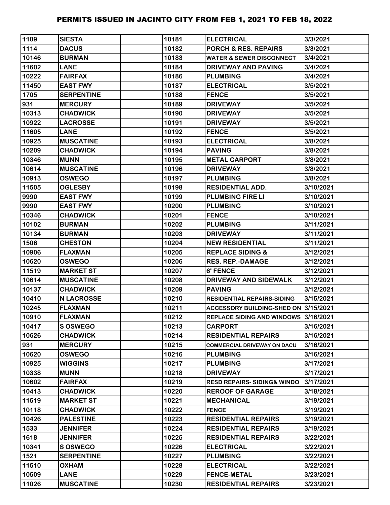| 1109  | <b>SIESTA</b>     | 10181 | <b>ELECTRICAL</b>                     | 3/3/2021  |
|-------|-------------------|-------|---------------------------------------|-----------|
| 1114  | <b>DACUS</b>      | 10182 | <b>PORCH &amp; RES. REPAIRS</b>       | 3/3/2021  |
| 10146 | <b>BURMAN</b>     | 10183 | <b>WATER &amp; SEWER DISCONNECT</b>   | 3/4/2021  |
| 11602 | <b>LANE</b>       | 10184 | <b>DRIVEWAY AND PAVING</b>            | 3/4/2021  |
| 10222 | <b>FAIRFAX</b>    | 10186 | <b>PLUMBING</b>                       | 3/4/2021  |
| 11450 | <b>EAST FWY</b>   | 10187 | <b>ELECTRICAL</b>                     | 3/5/2021  |
| 1705  | <b>SERPENTINE</b> | 10188 | <b>FENCE</b>                          | 3/5/2021  |
| 931   | <b>MERCURY</b>    | 10189 | <b>DRIVEWAY</b>                       | 3/5/2021  |
| 10313 | <b>CHADWICK</b>   | 10190 | <b>DRIVEWAY</b>                       | 3/5/2021  |
| 10922 | <b>LACROSSE</b>   | 10191 | <b>DRIVEWAY</b>                       | 3/5/2021  |
| 11605 | <b>LANE</b>       | 10192 | <b>FENCE</b>                          | 3/5/2021  |
| 10925 | <b>MUSCATINE</b>  | 10193 | <b>ELECTRICAL</b>                     | 3/8/2021  |
| 10209 | <b>CHADWICK</b>   | 10194 | <b>PAVING</b>                         | 3/8/2021  |
| 10346 | <b>MUNN</b>       | 10195 | <b>METAL CARPORT</b>                  | 3/8/2021  |
| 10614 | <b>MUSCATINE</b>  | 10196 | <b>DRIVEWAY</b>                       | 3/8/2021  |
| 10913 | <b>OSWEGO</b>     | 10197 | <b>PLUMBING</b>                       | 3/8/2021  |
| 11505 | <b>OGLESBY</b>    | 10198 | <b>RESIDENTIAL ADD.</b>               | 3/10/2021 |
| 9990  | <b>EAST FWY</b>   | 10199 | <b>PLUMBING FIRE LI</b>               | 3/10/2021 |
| 9990  | <b>EAST FWY</b>   | 10200 | <b>PLUMBING</b>                       | 3/10/2021 |
| 10346 | <b>CHADWICK</b>   | 10201 | <b>FENCE</b>                          | 3/10/2021 |
| 10102 | <b>BURMAN</b>     | 10202 | <b>PLUMBING</b>                       | 3/11/2021 |
| 10134 | <b>BURMAN</b>     | 10203 | <b>DRIVEWAY</b>                       | 3/11/2021 |
| 1506  | <b>CHESTON</b>    | 10204 | <b>NEW RESIDENTIAL</b>                | 3/11/2021 |
| 10906 | <b>FLAXMAN</b>    | 10205 | <b>REPLACE SIDING &amp;</b>           | 3/12/2021 |
| 10620 | <b>OSWEGO</b>     | 10206 | <b>RES. REP.-DAMAGE</b>               | 3/12/2021 |
| 11519 | <b>MARKET ST</b>  | 10207 | 6' FENCE                              | 3/12/2021 |
| 10614 | <b>MUSCATINE</b>  | 10208 | DRIVEWAY AND SIDEWALK                 | 3/12/2021 |
| 10137 | <b>CHADWICK</b>   | 10209 | <b>PAVING</b>                         | 3/12/2021 |
| 10410 | <b>N LACROSSE</b> | 10210 | <b>RESIDENTIAL REPAIRS-SIDING</b>     | 3/15/2021 |
| 10245 | <b>FLAXMAN</b>    | 10211 | ACCESSORY BUILDING-SHED ON 3/15/2021  |           |
| 10910 | <b>FLAXMAN</b>    | 10212 | REPLACE SIDING AND WINDOWS 3/16/2021  |           |
| 10417 | <b>S OSWEGO</b>   | 10213 | <b>CARPORT</b>                        | 3/16/2021 |
| 10626 | <b>CHADWICK</b>   | 10214 | <b>RESIDENTIAL REPAIRS</b>            | 3/16/2021 |
| 931   | <b>MERCURY</b>    | 10215 | <b>COMMERCIAL DRIVEWAY ON DACU</b>    | 3/16/2021 |
| 10620 | <b>OSWEGO</b>     | 10216 | <b>PLUMBING</b>                       | 3/16/2021 |
| 10925 | <b>WIGGINS</b>    | 10217 | <b>PLUMBING</b>                       | 3/17/2021 |
| 10338 | <b>MUNN</b>       | 10218 | <b>DRIVEWAY</b>                       | 3/17/2021 |
| 10602 | <b>FAIRFAX</b>    | 10219 | <b>RESD REPAIRS-SIDING&amp; WINDO</b> | 3/17/2021 |
| 10413 | <b>CHADWICK</b>   | 10220 | <b>REROOF OF GARAGE</b>               | 3/18/2021 |
| 11519 | <b>MARKET ST</b>  | 10221 | <b>MECHANICAL</b>                     | 3/19/2021 |
| 10118 | <b>CHADWICK</b>   | 10222 | <b>FENCE</b>                          | 3/19/2021 |
| 10426 | <b>PALESTINE</b>  | 10223 | <b>RESIDENTIAL REPAIRS</b>            | 3/19/2021 |
| 1533  | <b>JENNIFER</b>   | 10224 | <b>RESIDENTIAL REPAIRS</b>            | 3/19/2021 |
| 1618  | <b>JENNIFER</b>   | 10225 | <b>RESIDENTIAL REPAIRS</b>            | 3/22/2021 |
| 10341 | S OSWEGO          | 10226 | <b>ELECTRICAL</b>                     | 3/22/2021 |
| 1521  | <b>SERPENTINE</b> | 10227 | <b>PLUMBING</b>                       | 3/22/2021 |
| 11510 | <b>OXHAM</b>      | 10228 | <b>ELECTRICAL</b>                     | 3/22/2021 |
| 10509 | <b>LANE</b>       | 10229 | <b>FENCE-METAL</b>                    | 3/23/2021 |
| 11026 | <b>MUSCATINE</b>  | 10230 | <b>RESIDENTIAL REPAIRS</b>            | 3/23/2021 |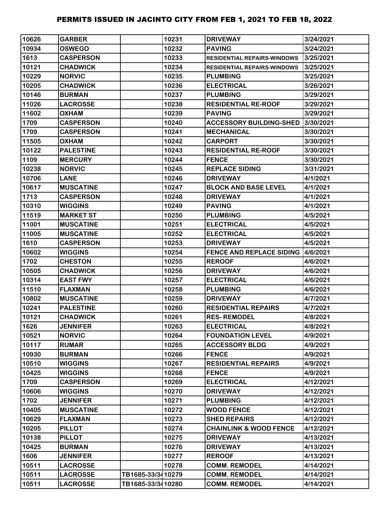| 10626 | <b>GARBER</b>    |                   | 10231 | <b>DRIVEWAY</b>                    | 3/24/2021 |
|-------|------------------|-------------------|-------|------------------------------------|-----------|
| 10934 | <b>OSWEGO</b>    |                   | 10232 | <b>PAVING</b>                      | 3/24/2021 |
| 1613  | <b>CASPERSON</b> |                   | 10233 | <b>RESIDENTIAL REPAIRS-WINDOWS</b> | 3/25/2021 |
| 10121 | <b>CHADWICK</b>  |                   | 10234 | <b>RESIDENTIAL REPAIRS-WINDOWS</b> | 3/25/2021 |
| 10229 | <b>NORVIC</b>    |                   | 10235 | <b>PLUMBING</b>                    | 3/25/2021 |
| 10205 | <b>CHADWICK</b>  |                   | 10236 | <b>ELECTRICAL</b>                  | 3/26/2021 |
| 10146 | <b>BURMAN</b>    |                   | 10237 | <b>PLUMBING</b>                    | 3/29/2021 |
| 11026 | <b>LACROSSE</b>  |                   | 10238 | <b>RESIDENTIAL RE-ROOF</b>         | 3/29/2021 |
| 11602 | <b>OXHAM</b>     |                   | 10239 | <b>PAVING</b>                      | 3/29/2021 |
| 1709  | <b>CASPERSON</b> |                   | 10240 | <b>ACCESSORY BUILDING-SHED</b>     | 3/30/2021 |
| 1709  | <b>CASPERSON</b> |                   | 10241 | <b>MECHANICAL</b>                  | 3/30/2021 |
| 11505 | <b>OXHAM</b>     |                   | 10242 | <b>CARPORT</b>                     | 3/30/2021 |
| 10122 | <b>PALESTINE</b> |                   | 10243 | <b>RESIDENTIAL RE-ROOF</b>         | 3/30/2021 |
| 1109  | <b>MERCURY</b>   |                   | 10244 | <b>FENCE</b>                       | 3/30/2021 |
| 10238 | <b>NORVIC</b>    |                   | 10245 | <b>REPLACE SIDING</b>              | 3/31/2021 |
| 10706 | <b>LANE</b>      |                   | 10246 | <b>DRIVEWAY</b>                    | 4/1/2021  |
| 10617 | <b>MUSCATINE</b> |                   | 10247 | <b>BLOCK AND BASE LEVEL</b>        | 4/1/2021  |
| 1713  | <b>CASPERSON</b> |                   | 10248 | <b>DRIVEWAY</b>                    | 4/1/2021  |
| 10310 | <b>WIGGINS</b>   |                   | 10249 | <b>PAVING</b>                      | 4/1/2021  |
| 11519 | <b>MARKET ST</b> |                   | 10250 | <b>PLUMBING</b>                    | 4/5/2021  |
| 11001 | <b>MUSCATINE</b> |                   | 10251 | <b>ELECTRICAL</b>                  | 4/5/2021  |
| 11005 | <b>MUSCATINE</b> |                   | 10252 | <b>ELECTRICAL</b>                  | 4/5/2021  |
| 1610  | <b>CASPERSON</b> |                   | 10253 | <b>DRIVEWAY</b>                    | 4/5/2021  |
| 10602 | <b>WIGGINS</b>   |                   | 10254 | <b>FENCE AND REPLACE SIDING</b>    | 4/6/2021  |
| 1702  | <b>CHESTON</b>   |                   | 10255 | <b>REROOF</b>                      | 4/6/2021  |
| 10505 | <b>CHADWICK</b>  |                   | 10256 | <b>DRIVEWAY</b>                    | 4/6/2021  |
| 10314 | <b>EAST FWY</b>  |                   | 10257 | <b>ELECTRICAL</b>                  | 4/6/2021  |
| 11510 | <b>FLAXMAN</b>   |                   | 10258 | <b>PLUMBING</b>                    | 4/6/2021  |
| 10802 | <b>MUSCATINE</b> |                   | 10259 | <b>DRIVEWAY</b>                    | 4/7/2021  |
| 10241 | <b>PALESTINE</b> |                   | 10260 | <b>RESIDENTIAL REPAIRS</b>         | 4/7/2021  |
| 10121 | <b>CHADWICK</b>  |                   | 10261 | <b>RES-REMODEL</b>                 | 4/8/2021  |
| 1626  | <b>JENNIFER</b>  |                   | 10263 | <b>ELECTRICAL</b>                  | 4/8/2021  |
| 10521 | <b>NORVIC</b>    |                   | 10264 | <b>FOUNDATION LEVEL</b>            | 4/9/2021  |
| 10117 | <b>RUMAR</b>     |                   | 10265 | <b>ACCESSORY BLDG</b>              | 4/9/2021  |
| 10930 | <b>BURMAN</b>    |                   | 10266 | <b>FENCE</b>                       | 4/9/2021  |
| 10510 | <b>WIGGINS</b>   |                   | 10267 | <b>RESIDENTIAL REPAIRS</b>         | 4/9/2021  |
| 10425 | <b>WIGGINS</b>   |                   | 10268 | <b>FENCE</b>                       | 4/9/2021  |
| 1709  | <b>CASPERSON</b> |                   | 10269 | <b>ELECTRICAL</b>                  | 4/12/2021 |
| 10606 | <b>WIGGINS</b>   |                   | 10270 | <b>DRIVEWAY</b>                    | 4/12/2021 |
| 1702  | <b>JENNIFER</b>  |                   | 10271 | <b>PLUMBING</b>                    | 4/12/2021 |
| 10405 | <b>MUSCATINE</b> |                   | 10272 | <b>WOOD FENCE</b>                  | 4/12/2021 |
| 10629 | <b>FLAXMAN</b>   |                   | 10273 | <b>SHED REPAIRS</b>                | 4/12/2021 |
| 10205 | <b>PILLOT</b>    |                   | 10274 | <b>CHAINLINK &amp; WOOD FENCE</b>  | 4/12/2021 |
| 10138 | <b>PILLOT</b>    |                   | 10275 | <b>DRIVEWAY</b>                    | 4/13/2021 |
| 10425 | <b>BURMAN</b>    |                   | 10276 | <b>DRIVEWAY</b>                    | 4/13/2021 |
| 1606  | <b>JENNIFER</b>  |                   | 10277 | <b>REROOF</b>                      | 4/13/2021 |
| 10511 | <b>LACROSSE</b>  |                   | 10278 | <b>COMM. REMODEL</b>               | 4/14/2021 |
| 10511 | <b>LACROSSE</b>  | TB1685-33/3410279 |       | <b>COMM. REMODEL</b>               | 4/14/2021 |
| 10511 | <b>LACROSSE</b>  | TB1685-33/3410280 |       | <b>COMM. REMODEL</b>               | 4/14/2021 |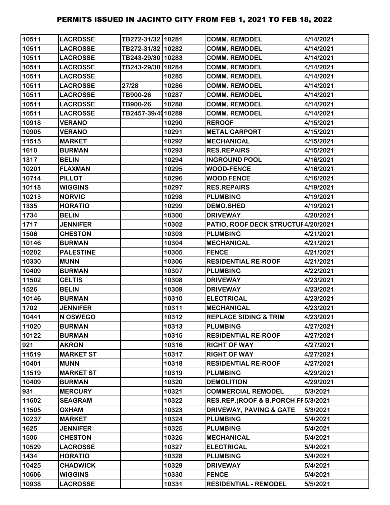| 10511 | <b>LACROSSE</b>  | TB272-31/32 10281 |       | <b>COMM. REMODEL</b>                | 4/14/2021 |
|-------|------------------|-------------------|-------|-------------------------------------|-----------|
| 10511 | <b>LACROSSE</b>  | TB272-31/32 10282 |       | <b>COMM. REMODEL</b>                | 4/14/2021 |
| 10511 | <b>LACROSSE</b>  | TB243-29/30 10283 |       | <b>COMM. REMODEL</b>                | 4/14/2021 |
| 10511 | <b>LACROSSE</b>  | TB243-29/30 10284 |       | <b>COMM. REMODEL</b>                | 4/14/2021 |
| 10511 | <b>LACROSSE</b>  |                   | 10285 | <b>COMM. REMODEL</b>                | 4/14/2021 |
| 10511 | <b>LACROSSE</b>  | 27/28             | 10286 | <b>COMM. REMODEL</b>                | 4/14/2021 |
| 10511 | <b>LACROSSE</b>  | TB900-26          | 10287 | <b>COMM. REMODEL</b>                | 4/14/2021 |
| 10511 | <b>LACROSSE</b>  | TB900-26          | 10288 | <b>COMM. REMODEL</b>                | 4/14/2021 |
| 10511 | <b>LACROSSE</b>  | TB2457-39/4010289 |       | <b>COMM. REMODEL</b>                | 4/14/2021 |
| 10918 | <b>VERANO</b>    |                   | 10290 | <b>REROOF</b>                       | 4/15/2021 |
| 10905 | <b>VERANO</b>    |                   | 10291 | <b>METAL CARPORT</b>                | 4/15/2021 |
| 11515 | <b>MARKET</b>    |                   | 10292 | <b>MECHANICAL</b>                   | 4/15/2021 |
| 1610  | <b>BURMAN</b>    |                   | 10293 | <b>RES.REPAIRS</b>                  | 4/15/2021 |
| 1317  | <b>BELIN</b>     |                   | 10294 | <b>INGROUND POOL</b>                | 4/16/2021 |
| 10201 | <b>FLAXMAN</b>   |                   | 10295 | <b>WOOD-FENCE</b>                   | 4/16/2021 |
| 10714 | <b>PILLOT</b>    |                   | 10296 | <b>WOOD FENCE</b>                   | 4/16/2021 |
| 10118 | <b>WIGGINS</b>   |                   | 10297 | <b>RES.REPAIRS</b>                  | 4/19/2021 |
| 10213 | <b>NORVIC</b>    |                   | 10298 | <b>PLUMBING</b>                     | 4/19/2021 |
| 1335  | <b>HORATIO</b>   |                   | 10299 | <b>DEMO.SHED</b>                    | 4/19/2021 |
| 1734  | <b>BELIN</b>     |                   | 10300 | <b>DRIVEWAY</b>                     | 4/20/2021 |
| 1717  | <b>JENNIFER</b>  |                   | 10302 | PATIO, ROOF DECK STRUCTUI 4/20/2021 |           |
| 1506  | <b>CHESTON</b>   |                   | 10303 | <b>PLUMBING</b>                     | 4/21/2021 |
| 10146 | <b>BURMAN</b>    |                   | 10304 | <b>MECHANICAL</b>                   | 4/21/2021 |
| 10202 | <b>PALESTINE</b> |                   | 10305 | <b>FENCE</b>                        | 4/21/2021 |
| 10330 | <b>MUNN</b>      |                   | 10306 | <b>RESIDENTIAL RE-ROOF</b>          | 4/21/2021 |
| 10409 | <b>BURMAN</b>    |                   | 10307 | <b>PLUMBING</b>                     | 4/22/2021 |
| 11502 | <b>CELTIS</b>    |                   | 10308 | <b>DRIVEWAY</b>                     | 4/23/2021 |
| 1526  | <b>BELIN</b>     |                   | 10309 | <b>DRIVEWAY</b>                     | 4/23/2021 |
| 10146 | <b>BURMAN</b>    |                   | 10310 | <b>ELECTRICAL</b>                   | 4/23/2021 |
| 1702  | <b>JENNIFER</b>  |                   | 10311 | <b>MECHANICAL</b>                   | 4/23/2021 |
| 10441 | N OSWEGO         |                   | 10312 | <b>REPLACE SIDING &amp; TRIM</b>    | 4/23/2021 |
| 11020 | <b>BURMAN</b>    |                   | 10313 | <b>PLUMBING</b>                     | 4/27/2021 |
| 10122 | <b>BURMAN</b>    |                   | 10315 | <b>RESIDENTIAL RE-ROOF</b>          | 4/27/2021 |
| 921   | <b>AKRON</b>     |                   | 10316 | <b>RIGHT OF WAY</b>                 | 4/27/2021 |
| 11519 | <b>MARKET ST</b> |                   | 10317 | <b>RIGHT OF WAY</b>                 | 4/27/2021 |
| 10401 | <b>MUNN</b>      |                   | 10318 | <b>RESIDENTIAL RE-ROOF</b>          | 4/27/2021 |
| 11519 | <b>MARKET ST</b> |                   | 10319 | <b>PLUMBING</b>                     | 4/29/2021 |
| 10409 | <b>BURMAN</b>    |                   | 10320 | <b>DEMOLITION</b>                   | 4/29/2021 |
| 931   | <b>MERCURY</b>   |                   | 10321 | <b>COMMERCIAL REMODEL</b>           | 5/3/2021  |
| 11602 | <b>SEAGRAM</b>   |                   | 10322 | RES.REP.(ROOF & B.PORCH FI5/3/2021  |           |
| 11505 | <b>OXHAM</b>     |                   | 10323 | <b>DRIVEWAY, PAVING &amp; GATE</b>  | 5/3/2021  |
| 10237 | <b>MARKET</b>    |                   | 10324 | <b>PLUMBING</b>                     | 5/4/2021  |
| 1625  | <b>JENNIFER</b>  |                   | 10325 | <b>PLUMBING</b>                     | 5/4/2021  |
| 1506  | <b>CHESTON</b>   |                   | 10326 | <b>MECHANICAL</b>                   | 5/4/2021  |
| 10529 | <b>LACROSSE</b>  |                   | 10327 | <b>ELECTRICAL</b>                   | 5/4/2021  |
| 1434  | <b>HORATIO</b>   |                   | 10328 | <b>PLUMBING</b>                     | 5/4/2021  |
| 10425 | <b>CHADWICK</b>  |                   | 10329 | <b>DRIVEWAY</b>                     | 5/4/2021  |
| 10606 | <b>WIGGINS</b>   |                   | 10330 | <b>FENCE</b>                        | 5/4/2021  |
| 10938 | <b>LACROSSE</b>  |                   | 10331 | <b>RESIDENTIAL - REMODEL</b>        | 5/5/2021  |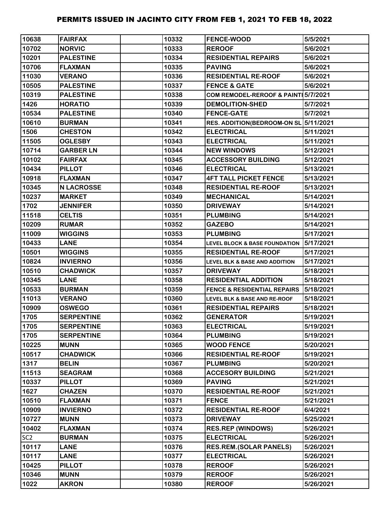| 10638           | <b>FAIRFAX</b>    | 10332 | <b>FENCE-WOOD</b>                        | 5/5/2021  |
|-----------------|-------------------|-------|------------------------------------------|-----------|
| 10702           | <b>NORVIC</b>     | 10333 | <b>REROOF</b>                            | 5/6/2021  |
| 10201           | <b>PALESTINE</b>  | 10334 | <b>RESIDENTIAL REPAIRS</b>               | 5/6/2021  |
| 10706           | <b>FLAXMAN</b>    | 10335 | <b>PAVING</b>                            | 5/6/2021  |
| 11030           | <b>VERANO</b>     | 10336 | <b>RESIDENTIAL RE-ROOF</b>               | 5/6/2021  |
| 10505           | <b>PALESTINE</b>  | 10337 | <b>FENCE &amp; GATE</b>                  | 5/6/2021  |
| 10319           | <b>PALESTINE</b>  | 10338 | COM REMODEL-REROOF & PAINT 5/7/2021      |           |
| 1426            | <b>HORATIO</b>    | 10339 | <b>DEMOLITION-SHED</b>                   | 5/7/2021  |
| 10534           | <b>PALESTINE</b>  | 10340 | <b>FENCE-GATE</b>                        | 5/7/2021  |
| 10610           | <b>BURMAN</b>     | 10341 | RES. ADDITION(BEDROOM-ON SL 5/11/2021    |           |
| 1506            | <b>CHESTON</b>    | 10342 | <b>ELECTRICAL</b>                        | 5/11/2021 |
| 11505           | <b>OGLESBY</b>    | 10343 | <b>ELECTRICAL</b>                        | 5/11/2021 |
| 10714           | <b>GARBER LN</b>  | 10344 | <b>NEW WINDOWS</b>                       | 5/12/2021 |
| 10102           | <b>FAIRFAX</b>    | 10345 | <b>ACCESSORY BUILDING</b>                | 5/12/2021 |
| 10434           | <b>PILLOT</b>     | 10346 | <b>ELECTRICAL</b>                        | 5/13/2021 |
| 10918           | <b>FLAXMAN</b>    | 10347 | <b>4FT TALL PICKET FENCE</b>             | 5/13/2021 |
| 10345           | <b>N LACROSSE</b> | 10348 | <b>RESIDENTIAL RE-ROOF</b>               | 5/13/2021 |
| 10237           | <b>MARKET</b>     | 10349 | <b>MECHANICAL</b>                        | 5/14/2021 |
| 1702            | <b>JENNIFER</b>   | 10350 | <b>DRIVEWAY</b>                          | 5/14/2021 |
| 11518           | <b>CELTIS</b>     | 10351 | <b>PLUMBING</b>                          | 5/14/2021 |
| 10209           | <b>RUMAR</b>      | 10352 | <b>GAZEBO</b>                            | 5/14/2021 |
| 11009           | <b>WIGGINS</b>    | 10353 | <b>PLUMBING</b>                          | 5/17/2021 |
| 10433           | <b>LANE</b>       | 10354 | <b>LEVEL BLOCK &amp; BASE FOUNDATION</b> | 5/17/2021 |
| 10501           | <b>WIGGINS</b>    | 10355 | <b>RESIDENTIAL RE-ROOF</b>               | 5/17/2021 |
| 10824           | <b>INVIERNO</b>   | 10356 | <b>LEVEL BLK &amp; BASE AND ADDITION</b> | 5/17/2021 |
| 10510           | <b>CHADWICK</b>   | 10357 | <b>DRIVEWAY</b>                          | 5/18/2021 |
| 10345           | <b>LANE</b>       | 10358 | <b>RESIDENTIAL ADDITION</b>              | 5/18/2021 |
| 10533           | <b>BURMAN</b>     | 10359 | <b>FENCE &amp; RESIDENTIAL REPAIRS</b>   | 5/18/2021 |
| 11013           | <b>VERANO</b>     | 10360 | LEVEL BLK & BASE AND RE-ROOF             | 5/18/2021 |
| 10909           | <b>OSWEGO</b>     | 10361 | <b>RESIDENTIAL REPAIRS</b>               | 5/18/2021 |
| 1705            | <b>SERPENTINE</b> | 10362 | <b>GENERATOR</b>                         | 5/19/2021 |
| 1705            | <b>SERPENTINE</b> | 10363 | <b>ELECTRICAL</b>                        | 5/19/2021 |
| 1705            | <b>SERPENTINE</b> | 10364 | <b>PLUMBING</b>                          | 5/19/2021 |
| 10225           | <b>MUNN</b>       | 10365 | <b>WOOD FENCE</b>                        | 5/20/2021 |
| 10517           | <b>CHADWICK</b>   | 10366 | <b>RESIDENTIAL RE-ROOF</b>               | 5/19/2021 |
| 1317            | <b>BELIN</b>      | 10367 | <b>PLUMBING</b>                          | 5/20/2021 |
| 11513           | <b>SEAGRAM</b>    | 10368 | <b>ACCESORY BUILDING</b>                 | 5/21/2021 |
| 10337           | <b>PILLOT</b>     | 10369 | <b>PAVING</b>                            | 5/21/2021 |
| 1627            | <b>CHAZEN</b>     | 10370 | <b>RESIDENTIAL RE-ROOF</b>               | 5/21/2021 |
| 10510           | <b>FLAXMAN</b>    | 10371 | <b>FENCE</b>                             | 5/21/2021 |
| 10909           | <b>INVIERNO</b>   | 10372 | <b>RESIDENTIAL RE-ROOF</b>               | 6/4/2021  |
| 10727           | <b>MUNN</b>       | 10373 | <b>DRIVEWAY</b>                          | 5/25/2021 |
| 10402           | <b>FLAXMAN</b>    | 10374 | <b>RES.REP (WINDOWS)</b>                 | 5/26/2021 |
| SC <sub>2</sub> | <b>BURMAN</b>     | 10375 | <b>ELECTRICAL</b>                        | 5/26/2021 |
| 10117           | <b>LANE</b>       | 10376 | <b>RES.REM.(SOLAR PANELS)</b>            | 5/26/2021 |
| 10117           | <b>LANE</b>       | 10377 | <b>ELECTRICAL</b>                        | 5/26/2021 |
| 10425           | <b>PILLOT</b>     | 10378 | <b>REROOF</b>                            | 5/26/2021 |
| 10346           | <b>MUNN</b>       | 10379 | <b>REROOF</b>                            | 5/26/2021 |
| 1022            | <b>AKRON</b>      | 10380 | <b>REROOF</b>                            | 5/26/2021 |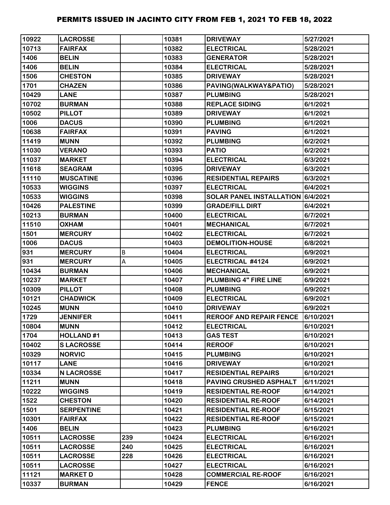| 10922 | <b>LACROSSE</b>   |     | 10381 | <b>DRIVEWAY</b>                   | 5/27/2021 |
|-------|-------------------|-----|-------|-----------------------------------|-----------|
| 10713 | <b>FAIRFAX</b>    |     | 10382 | <b>ELECTRICAL</b>                 | 5/28/2021 |
| 1406  | <b>BELIN</b>      |     | 10383 | <b>GENERATOR</b>                  | 5/28/2021 |
| 1406  | <b>BELIN</b>      |     | 10384 | <b>ELECTRICAL</b>                 | 5/28/2021 |
| 1506  | <b>CHESTON</b>    |     | 10385 | <b>DRIVEWAY</b>                   | 5/28/2021 |
| 1701  | <b>CHAZEN</b>     |     | 10386 | PAVING(WALKWAY&PATIO)             | 5/28/2021 |
| 10429 | <b>LANE</b>       |     | 10387 | <b>PLUMBING</b>                   | 5/28/2021 |
| 10702 | <b>BURMAN</b>     |     | 10388 | <b>REPLACE SIDING</b>             | 6/1/2021  |
| 10502 | <b>PILLOT</b>     |     | 10389 | <b>DRIVEWAY</b>                   | 6/1/2021  |
| 1006  | <b>DACUS</b>      |     | 10390 | <b>PLUMBING</b>                   | 6/1/2021  |
| 10638 | <b>FAIRFAX</b>    |     | 10391 | <b>PAVING</b>                     | 6/1/2021  |
| 11419 | <b>MUNN</b>       |     | 10392 | <b>PLUMBING</b>                   | 6/2/2021  |
| 11030 | <b>VERANO</b>     |     | 10393 | <b>PATIO</b>                      | 6/2/2021  |
| 11037 | <b>MARKET</b>     |     | 10394 | <b>ELECTRICAL</b>                 | 6/3/2021  |
| 11618 | <b>SEAGRAM</b>    |     | 10395 | <b>DRIVEWAY</b>                   | 6/3/2021  |
| 11110 | <b>MUSCATINE</b>  |     | 10396 | <b>RESIDENTIAL REPAIRS</b>        | 6/3/2021  |
| 10533 | <b>WIGGINS</b>    |     | 10397 | <b>ELECTRICAL</b>                 | 6/4/2021  |
| 10533 | <b>WIGGINS</b>    |     | 10398 | SOLAR PANEL INSTALLATION 6/4/2021 |           |
| 10426 | <b>PALESTINE</b>  |     | 10399 | <b>GRADE/FILL DIRT</b>            | 6/4/2021  |
| 10213 | <b>BURMAN</b>     |     | 10400 | <b>ELECTRICAL</b>                 | 6/7/2021  |
| 11510 | <b>OXHAM</b>      |     | 10401 | <b>MECHANICAL</b>                 | 6/7/2021  |
| 1501  | <b>MERCURY</b>    |     | 10402 | <b>ELECTRICAL</b>                 | 6/7/2021  |
| 1006  | <b>DACUS</b>      |     | 10403 | <b>DEMOLITION-HOUSE</b>           | 6/8/2021  |
| 931   | <b>MERCURY</b>    | B   | 10404 | <b>ELECTRICAL</b>                 | 6/9/2021  |
| 931   | <b>MERCURY</b>    | A   | 10405 | ELECTRICAL #4124                  | 6/9/2021  |
| 10434 | <b>BURMAN</b>     |     | 10406 | <b>MECHANICAL</b>                 | 6/9/2021  |
| 10237 | <b>MARKET</b>     |     | 10407 | PLUMBING 4" FIRE LINE             | 6/9/2021  |
| 10309 | <b>PILLOT</b>     |     | 10408 | <b>PLUMBING</b>                   | 6/9/2021  |
| 10121 | <b>CHADWICK</b>   |     | 10409 | <b>ELECTRICAL</b>                 | 6/9/2021  |
| 10245 | <b>MUNN</b>       |     | 10410 | <b>DRIVEWAY</b>                   | 6/9/2021  |
| 1729  | <b>JENNIFER</b>   |     | 10411 | <b>REROOF AND REPAIR FENCE</b>    | 6/10/2021 |
| 10804 | <b>MUNN</b>       |     | 10412 | <b>ELECTRICAL</b>                 | 6/10/2021 |
| 1704  | <b>HOLLAND#1</b>  |     | 10413 | <b>GAS TEST</b>                   | 6/10/2021 |
| 10402 | <b>SLACROSSE</b>  |     | 10414 | <b>REROOF</b>                     | 6/10/2021 |
| 10329 | <b>NORVIC</b>     |     | 10415 | <b>PLUMBING</b>                   | 6/10/2021 |
| 10117 | <b>LANE</b>       |     | 10416 | <b>DRIVEWAY</b>                   | 6/10/2021 |
| 10334 | <b>N LACROSSE</b> |     | 10417 | <b>RESIDENTIAL REPAIRS</b>        | 6/10/2021 |
| 11211 | <b>MUNN</b>       |     | 10418 | <b>PAVING CRUSHED ASPHALT</b>     | 6/11/2021 |
| 10222 | <b>WIGGINS</b>    |     | 10419 | <b>RESIDENTIAL RE-ROOF</b>        | 6/14/2021 |
| 1522  | <b>CHESTON</b>    |     | 10420 | <b>RESIDENTIAL RE-ROOF</b>        | 6/14/2021 |
| 1501  | <b>SERPENTINE</b> |     | 10421 | <b>RESIDENTIAL RE-ROOF</b>        | 6/15/2021 |
| 10301 | <b>FAIRFAX</b>    |     | 10422 | <b>RESIDENTIAL RE-ROOF</b>        | 6/15/2021 |
| 1406  | <b>BELIN</b>      |     | 10423 | <b>PLUMBING</b>                   | 6/16/2021 |
| 10511 | <b>LACROSSE</b>   | 239 | 10424 | <b>ELECTRICAL</b>                 | 6/16/2021 |
| 10511 | <b>LACROSSE</b>   | 240 | 10425 | <b>ELECTRICAL</b>                 | 6/16/2021 |
| 10511 | <b>LACROSSE</b>   | 228 | 10426 | <b>ELECTRICAL</b>                 | 6/16/2021 |
| 10511 | <b>LACROSSE</b>   |     | 10427 | <b>ELECTRICAL</b>                 | 6/16/2021 |
| 11121 | <b>MARKET D</b>   |     | 10428 | <b>COMMERCIAL RE-ROOF</b>         | 6/16/2021 |
| 10337 | <b>BURMAN</b>     |     | 10429 | <b>FENCE</b>                      | 6/16/2021 |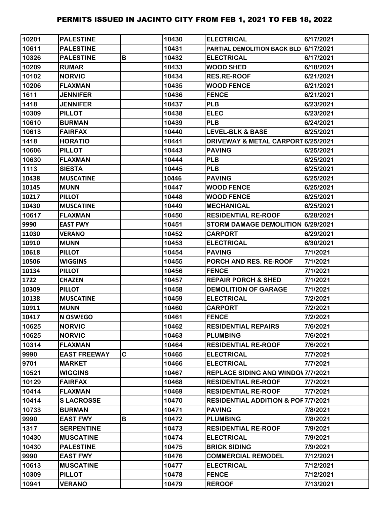| 10201 | <b>PALESTINE</b>    |   | 10430 | <b>ELECTRICAL</b>                             | 6/17/2021 |
|-------|---------------------|---|-------|-----------------------------------------------|-----------|
| 10611 | <b>PALESTINE</b>    |   | 10431 | PARTIAL DEMOLITION BACK BLD 6/17/2021         |           |
| 10326 | <b>PALESTINE</b>    | В | 10432 | <b>ELECTRICAL</b>                             | 6/17/2021 |
| 10209 | <b>RUMAR</b>        |   | 10433 | <b>WOOD SHED</b>                              | 6/18/2021 |
| 10102 | <b>NORVIC</b>       |   | 10434 | <b>RES.RE-ROOF</b>                            | 6/21/2021 |
| 10206 | <b>FLAXMAN</b>      |   | 10435 | <b>WOOD FENCE</b>                             | 6/21/2021 |
| 1611  | <b>JENNIFER</b>     |   | 10436 | <b>FENCE</b>                                  | 6/21/2021 |
| 1418  | <b>JENNIFER</b>     |   | 10437 | <b>PLB</b>                                    | 6/23/2021 |
| 10309 | <b>PILLOT</b>       |   | 10438 | <b>ELEC</b>                                   | 6/23/2021 |
| 10610 | <b>BURMAN</b>       |   | 10439 | <b>PLB</b>                                    | 6/24/2021 |
| 10613 | <b>FAIRFAX</b>      |   | 10440 | <b>LEVEL-BLK &amp; BASE</b>                   | 6/25/2021 |
| 1418  | <b>HORATIO</b>      |   | 10441 | DRIVEWAY & METAL CARPORT 6/25/2021            |           |
| 10606 | <b>PILLOT</b>       |   | 10443 | <b>PAVING</b>                                 | 6/25/2021 |
| 10630 | <b>FLAXMAN</b>      |   | 10444 | <b>PLB</b>                                    | 6/25/2021 |
| 1113  | <b>SIESTA</b>       |   | 10445 | <b>PLB</b>                                    | 6/25/2021 |
| 10438 | <b>MUSCATINE</b>    |   | 10446 | <b>PAVING</b>                                 | 6/25/2021 |
| 10145 | <b>MUNN</b>         |   | 10447 | <b>WOOD FENCE</b>                             | 6/25/2021 |
| 10217 | <b>PILLOT</b>       |   | 10448 | <b>WOOD FENCE</b>                             | 6/25/2021 |
| 10430 | <b>MUSCATINE</b>    |   | 10449 | <b>MECHANICAL</b>                             | 6/25/2021 |
| 10617 | <b>FLAXMAN</b>      |   | 10450 | <b>RESIDENTIAL RE-ROOF</b>                    | 6/28/2021 |
| 9990  | <b>EAST FWY</b>     |   | 10451 | STORM DAMAGE DEMOLITION 6/29/2021             |           |
| 11030 | <b>VERANO</b>       |   | 10452 | <b>CARPORT</b>                                | 6/29/2021 |
| 10910 | <b>MUNN</b>         |   | 10453 | <b>ELECTRICAL</b>                             | 6/30/2021 |
| 10618 | <b>PILLOT</b>       |   | 10454 | <b>PAVING</b>                                 | 7/1/2021  |
| 10506 | <b>WIGGINS</b>      |   | 10455 | PORCH AND RES. RE-ROOF                        | 7/1/2021  |
| 10134 | <b>PILLOT</b>       |   | 10456 | <b>FENCE</b>                                  | 7/1/2021  |
| 1722  | <b>CHAZEN</b>       |   | 10457 | <b>REPAIR PORCH &amp; SHED</b>                | 7/1/2021  |
| 10309 | <b>PILLOT</b>       |   | 10458 | <b>DEMOLITION OF GARAGE</b>                   | 7/1/2021  |
| 10138 | <b>MUSCATINE</b>    |   | 10459 | <b>ELECTRICAL</b>                             | 7/2/2021  |
| 10911 | <b>MUNN</b>         |   | 10460 | <b>CARPORT</b>                                | 7/2/2021  |
| 10417 | N OSWEGO            |   | 10461 | <b>FENCE</b>                                  | 7/2/2021  |
| 10625 | <b>NORVIC</b>       |   | 10462 | <b>RESIDENTIAL REPAIRS</b>                    | 7/6/2021  |
| 10625 | <b>NORVIC</b>       |   | 10463 | <b>PLUMBING</b>                               | 7/6/2021  |
| 10314 | <b>FLAXMAN</b>      |   | 10464 | <b>RESIDENTIAL RE-ROOF</b>                    | 7/6/2021  |
| 9990  | <b>EAST FREEWAY</b> | C | 10465 | <b>ELECTRICAL</b>                             | 7/7/2021  |
| 9701  | <b>MARKET</b>       |   | 10466 | <b>ELECTRICAL</b>                             | 7/7/2021  |
| 10521 | <b>WIGGINS</b>      |   | 10467 | REPLACE SIDING AND WINDOW 7/7/2021            |           |
| 10129 | <b>FAIRFAX</b>      |   | 10468 | <b>RESIDENTIAL RE-ROOF</b>                    | 7/7/2021  |
| 10414 | <b>FLAXMAN</b>      |   | 10469 | <b>RESIDENTIAL RE-ROOF</b>                    | 7/7/2021  |
| 10414 | <b>SLACROSSE</b>    |   | 10470 | <b>RESIDENTIAL ADDITION &amp; POR7/7/2021</b> |           |
| 10733 | <b>BURMAN</b>       |   | 10471 | <b>PAVING</b>                                 | 7/8/2021  |
| 9990  | <b>EAST FWY</b>     | В | 10472 | <b>PLUMBING</b>                               | 7/8/2021  |
| 1317  | <b>SERPENTINE</b>   |   | 10473 | <b>RESIDENTIAL RE-ROOF</b>                    | 7/9/2021  |
| 10430 | <b>MUSCATINE</b>    |   | 10474 | <b>ELECTRICAL</b>                             | 7/9/2021  |
| 10430 | <b>PALESTINE</b>    |   | 10475 | <b>BRICK SIDING</b>                           | 7/9/2021  |
| 9990  | <b>EAST FWY</b>     |   | 10476 | <b>COMMERCIAL REMODEL</b>                     | 7/12/2021 |
| 10613 | <b>MUSCATINE</b>    |   | 10477 | <b>ELECTRICAL</b>                             | 7/12/2021 |
| 10309 | <b>PILLOT</b>       |   | 10478 | <b>FENCE</b>                                  | 7/12/2021 |
| 10941 | <b>VERANO</b>       |   | 10479 | <b>REROOF</b>                                 | 7/13/2021 |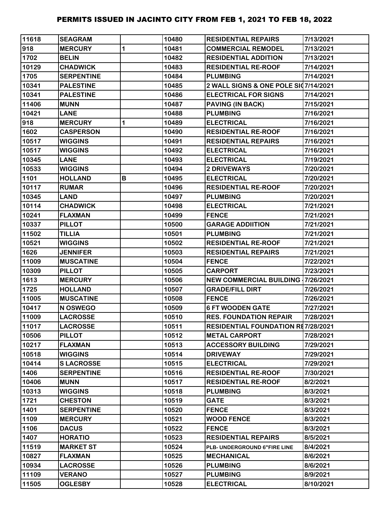| 11618 | <b>SEAGRAM</b>    |   | 10480 | <b>RESIDENTIAL REPAIRS</b>                | 7/13/2021 |
|-------|-------------------|---|-------|-------------------------------------------|-----------|
| 918   | <b>MERCURY</b>    | 1 | 10481 | <b>COMMERCIAL REMODEL</b>                 | 7/13/2021 |
| 1702  | <b>BELIN</b>      |   | 10482 | <b>RESIDENTIAL ADDITION</b>               | 7/13/2021 |
| 10129 | <b>CHADWICK</b>   |   | 10483 | <b>RESIDENTIAL RE-ROOF</b>                | 7/14/2021 |
| 1705  | <b>SERPENTINE</b> |   | 10484 | <b>PLUMBING</b>                           | 7/14/2021 |
| 10341 | <b>PALESTINE</b>  |   | 10485 | 2 WALL SIGNS & ONE POLE SI07/14/2021      |           |
| 10341 | <b>PALESTINE</b>  |   | 10486 | <b>ELECTRICAL FOR SIGNS</b>               | 7/14/2021 |
| 11406 | <b>MUNN</b>       |   | 10487 | PAVING (IN BACK)                          | 7/15/2021 |
| 10421 | <b>LANE</b>       |   | 10488 | <b>PLUMBING</b>                           | 7/16/2021 |
| 918   | <b>MERCURY</b>    | 1 | 10489 | <b>ELECTRICAL</b>                         | 7/16/2021 |
| 1602  | <b>CASPERSON</b>  |   | 10490 | <b>RESIDENTIAL RE-ROOF</b>                | 7/16/2021 |
| 10517 | <b>WIGGINS</b>    |   | 10491 | <b>RESIDENTIAL REPAIRS</b>                | 7/16/2021 |
| 10517 | <b>WIGGINS</b>    |   | 10492 | <b>ELECTRICAL</b>                         | 7/16/2021 |
| 10345 | <b>LANE</b>       |   | 10493 | <b>ELECTRICAL</b>                         | 7/19/2021 |
| 10533 | <b>WIGGINS</b>    |   | 10494 | 2 DRIVEWAYS                               | 7/20/2021 |
| 1101  | <b>HOLLAND</b>    | В | 10495 | <b>ELECTRICAL</b>                         | 7/20/2021 |
| 10117 | <b>RUMAR</b>      |   | 10496 | <b>RESIDENTIAL RE-ROOF</b>                | 7/20/2021 |
| 10345 | <b>LAND</b>       |   | 10497 | <b>PLUMBING</b>                           | 7/20/2021 |
| 10114 | <b>CHADWICK</b>   |   | 10498 | <b>ELECTRICAL</b>                         | 7/21/2021 |
| 10241 | <b>FLAXMAN</b>    |   | 10499 | <b>FENCE</b>                              | 7/21/2021 |
| 10337 | <b>PILLOT</b>     |   | 10500 | <b>GARAGE ADDIITION</b>                   | 7/21/2021 |
| 11502 | <b>TILLIA</b>     |   | 10501 | <b>PLUMBING</b>                           | 7/21/2021 |
| 10521 | <b>WIGGINS</b>    |   | 10502 | <b>RESIDENTIAL RE-ROOF</b>                | 7/21/2021 |
| 1626  | <b>JENNIFER</b>   |   | 10503 | <b>RESIDENTIAL REPAIRS</b>                | 7/21/2021 |
| 11009 | <b>MUSCATINE</b>  |   | 10504 | <b>FENCE</b>                              | 7/22/2021 |
| 10309 | <b>PILLOT</b>     |   | 10505 | <b>CARPORT</b>                            | 7/23/2021 |
| 1613  | <b>MERCURY</b>    |   | 10506 | <b>NEW COMMERCIAL BUILDING 17/26/2021</b> |           |
| 1725  | <b>HOLLAND</b>    |   | 10507 | <b>GRADE/FILL DIRT</b>                    | 7/26/2021 |
| 11005 | <b>MUSCATINE</b>  |   | 10508 | <b>FENCE</b>                              | 7/26/2021 |
| 10417 | N OSWEGO          |   | 10509 | <b>6 FT WOODEN GATE</b>                   | 7/27/2021 |
| 11009 | <b>LACROSSE</b>   |   | 10510 | <b>RES. FOUNDATION REPAIR</b>             | 7/28/2021 |
| 11017 | <b>LACROSSE</b>   |   | 10511 | <b>RESIDENTIAL FOUNDATION RE7/28/2021</b> |           |
| 10506 | <b>PILLOT</b>     |   | 10512 | <b>METAL CARPORT</b>                      | 7/28/2021 |
| 10217 | <b>FLAXMAN</b>    |   | 10513 | <b>ACCESSORY BUILDING</b>                 | 7/29/2021 |
| 10518 | <b>WIGGINS</b>    |   | 10514 | <b>DRIVEWAY</b>                           | 7/29/2021 |
| 10414 | <b>SLACROSSE</b>  |   | 10515 | <b>ELECTRICAL</b>                         | 7/29/2021 |
| 1406  | <b>SERPENTINE</b> |   | 10516 | <b>RESIDENTIAL RE-ROOF</b>                | 7/30/2021 |
| 10406 | <b>MUNN</b>       |   | 10517 | <b>RESIDENTIAL RE-ROOF</b>                | 8/2/2021  |
| 10313 | <b>WIGGINS</b>    |   | 10518 | <b>PLUMBING</b>                           | 8/3/2021  |
| 1721  | <b>CHESTON</b>    |   | 10519 | <b>GATE</b>                               | 8/3/2021  |
| 1401  | <b>SERPENTINE</b> |   | 10520 | <b>FENCE</b>                              | 8/3/2021  |
| 1109  | <b>MERCURY</b>    |   | 10521 | <b>WOOD FENCE</b>                         | 8/3/2021  |
| 1106  | <b>DACUS</b>      |   | 10522 | <b>FENCE</b>                              | 8/3/2021  |
| 1407  | <b>HORATIO</b>    |   | 10523 | <b>RESIDENTIAL REPAIRS</b>                | 8/5/2021  |
| 11519 | <b>MARKET ST</b>  |   | 10524 | PLB- UNDERGROUND 6"FIRE LINE              | 8/4/2021  |
| 10827 | <b>FLAXMAN</b>    |   | 10525 | <b>MECHANICAL</b>                         | 8/6/2021  |
| 10934 | <b>LACROSSE</b>   |   | 10526 | <b>PLUMBING</b>                           | 8/6/2021  |
| 11109 | <b>VERANO</b>     |   | 10527 | <b>PLUMBING</b>                           | 8/9/2021  |
| 11505 | <b>OGLESBY</b>    |   | 10528 | <b>ELECTRICAL</b>                         | 8/10/2021 |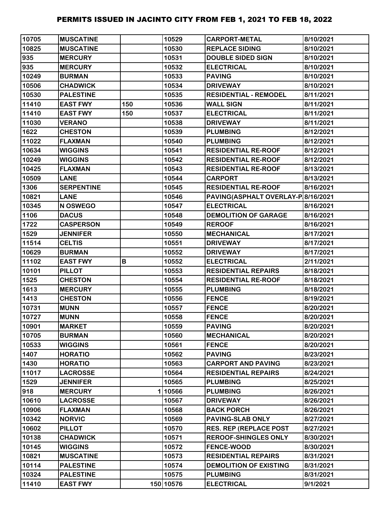| 10705 | <b>MUSCATINE</b>  |     | 10529     | <b>CARPORT-METAL</b>               | 8/10/2021 |
|-------|-------------------|-----|-----------|------------------------------------|-----------|
| 10825 | <b>MUSCATINE</b>  |     | 10530     | <b>REPLACE SIDING</b>              | 8/10/2021 |
| 935   | <b>MERCURY</b>    |     | 10531     | <b>DOUBLE SIDED SIGN</b>           | 8/10/2021 |
| 935   | <b>MERCURY</b>    |     | 10532     | <b>ELECTRICAL</b>                  | 8/10/2021 |
| 10249 | <b>BURMAN</b>     |     | 10533     | <b>PAVING</b>                      | 8/10/2021 |
| 10506 | <b>CHADWICK</b>   |     | 10534     | <b>DRIVEWAY</b>                    | 8/10/2021 |
| 10530 | <b>PALESTINE</b>  |     | 10535     | <b>RESIDENTIAL - REMODEL</b>       | 8/11/2021 |
| 11410 | <b>EAST FWY</b>   | 150 | 10536     | <b>WALL SIGN</b>                   | 8/11/2021 |
| 11410 | <b>EAST FWY</b>   | 150 | 10537     | <b>ELECTRICAL</b>                  | 8/11/2021 |
| 11030 | <b>VERANO</b>     |     | 10538     | <b>DRIVEWAY</b>                    | 8/11/2021 |
| 1622  | <b>CHESTON</b>    |     | 10539     | <b>PLUMBING</b>                    | 8/12/2021 |
| 11022 | <b>FLAXMAN</b>    |     | 10540     | <b>PLUMBING</b>                    | 8/12/2021 |
| 10634 | <b>WIGGINS</b>    |     | 10541     | <b>RESIDENTIAL RE-ROOF</b>         | 8/12/2021 |
| 10249 | <b>WIGGINS</b>    |     | 10542     | <b>RESIDENTIAL RE-ROOF</b>         | 8/12/2021 |
| 10425 | <b>FLAXMAN</b>    |     | 10543     | <b>RESIDENTIAL RE-ROOF</b>         | 8/13/2021 |
| 10509 | <b>LANE</b>       |     | 10544     | <b>CARPORT</b>                     | 8/13/2021 |
| 1306  | <b>SERPENTINE</b> |     | 10545     | <b>RESIDENTIAL RE-ROOF</b>         | 8/16/2021 |
| 10821 | <b>LANE</b>       |     | 10546     | PAVING(ASPHALT OVERLAY-P 8/16/2021 |           |
| 10345 | N OSWEGO          |     | 10547     | <b>ELECTRICAL</b>                  | 8/16/2021 |
| 1106  | <b>DACUS</b>      |     | 10548     | <b>DEMOLITION OF GARAGE</b>        | 8/16/2021 |
| 1722  | <b>CASPERSON</b>  |     | 10549     | <b>REROOF</b>                      | 8/16/2021 |
| 1529  | <b>JENNIFER</b>   |     | 10550     | <b>MECHANICAL</b>                  | 8/17/2021 |
| 11514 | <b>CELTIS</b>     |     | 10551     | <b>DRIVEWAY</b>                    | 8/17/2021 |
| 10629 | <b>BURMAN</b>     |     | 10552     | <b>DRIVEWAY</b>                    | 8/17/2021 |
| 11102 | <b>EAST FWY</b>   | В   | 10552     | <b>ELECTRICAL</b>                  | 2/11/2021 |
| 10101 | <b>PILLOT</b>     |     | 10553     | <b>RESIDENTIAL REPAIRS</b>         | 8/18/2021 |
| 1525  | <b>CHESTON</b>    |     | 10554     | <b>RESIDENTIAL RE-ROOF</b>         | 8/18/2021 |
| 1613  | <b>MERCURY</b>    |     | 10555     | <b>PLUMBING</b>                    | 8/18/2021 |
| 1413  | <b>CHESTON</b>    |     | 10556     | <b>FENCE</b>                       | 8/19/2021 |
| 10731 | <b>MUNN</b>       |     | 10557     | <b>FENCE</b>                       | 8/20/2021 |
| 10727 | <b>MUNN</b>       |     | 10558     | <b>FENCE</b>                       | 8/20/2021 |
| 10901 | <b>MARKET</b>     |     | 10559     | <b>PAVING</b>                      | 8/20/2021 |
| 10705 | <b>BURMAN</b>     |     | 10560     | <b>MECHANICAL</b>                  | 8/20/2021 |
| 10533 | <b>WIGGINS</b>    |     | 10561     | <b>FENCE</b>                       | 8/20/2021 |
| 1407  | <b>HORATIO</b>    |     | 10562     | <b>PAVING</b>                      | 8/23/2021 |
| 1430  | <b>HORATIO</b>    |     | 10563     | <b>CARPORT AND PAVING</b>          | 8/23/2021 |
| 11017 | <b>LACROSSE</b>   |     | 10564     | <b>RESIDENTIAL REPAIRS</b>         | 8/24/2021 |
| 1529  | <b>JENNIFER</b>   |     | 10565     | <b>PLUMBING</b>                    | 8/25/2021 |
| 918   | <b>MERCURY</b>    |     | 110566    | <b>PLUMBING</b>                    | 8/26/2021 |
| 10610 | <b>LACROSSE</b>   |     | 10567     | <b>DRIVEWAY</b>                    | 8/26/2021 |
| 10906 | <b>FLAXMAN</b>    |     | 10568     | <b>BACK PORCH</b>                  | 8/26/2021 |
| 10342 | <b>NORVIC</b>     |     | 10569     | PAVING-SLAB ONLY                   | 8/27/2021 |
| 10602 | <b>PILLOT</b>     |     | 10570     | <b>RES. REP (REPLACE POST</b>      | 8/27/2021 |
| 10138 | <b>CHADWICK</b>   |     | 10571     | <b>REROOF-SHINGLES ONLY</b>        | 8/30/2021 |
| 10145 | <b>WIGGINS</b>    |     | 10572     | <b>FENCE-WOOD</b>                  | 8/30/2021 |
| 10821 | <b>MUSCATINE</b>  |     | 10573     | <b>RESIDENTIAL REPAIRS</b>         | 8/31/2021 |
| 10114 | <b>PALESTINE</b>  |     | 10574     | <b>DEMOLITION OF EXISTING</b>      | 8/31/2021 |
| 10324 | <b>PALESTINE</b>  |     | 10575     | <b>PLUMBING</b>                    | 8/31/2021 |
| 11410 | <b>EAST FWY</b>   |     | 150 10576 | <b>ELECTRICAL</b>                  | 9/1/2021  |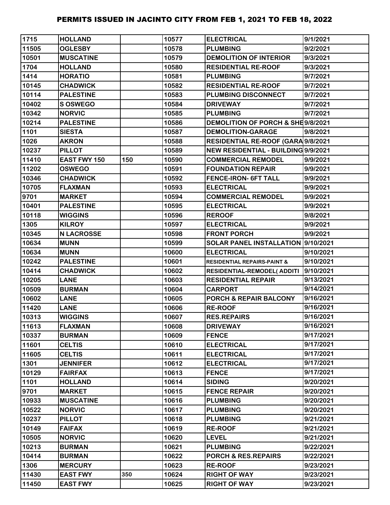| 1715  | <b>HOLLAND</b>      |     | 10577 | <b>ELECTRICAL</b>                      | 9/1/2021  |
|-------|---------------------|-----|-------|----------------------------------------|-----------|
| 11505 | <b>OGLESBY</b>      |     | 10578 | <b>PLUMBING</b>                        | 9/2/2021  |
| 10501 | <b>MUSCATINE</b>    |     | 10579 | <b>DEMOLITION OF INTERIOR</b>          | 9/3/2021  |
| 1704  | <b>HOLLAND</b>      |     | 10580 | <b>RESIDENTIAL RE-ROOF</b>             | 9/3/2021  |
| 1414  | <b>HORATIO</b>      |     | 10581 | <b>PLUMBING</b>                        | 9/7/2021  |
| 10145 | <b>CHADWICK</b>     |     | 10582 | <b>RESIDENTIAL RE-ROOF</b>             | 9/7/2021  |
| 10114 | <b>PALESTINE</b>    |     | 10583 | PLUMBING DISCONNECT                    | 9/7/2021  |
| 10402 | S OSWEGO            |     | 10584 | <b>DRIVEWAY</b>                        | 9/7/2021  |
| 10342 | <b>NORVIC</b>       |     | 10585 | <b>PLUMBING</b>                        | 9/7/2021  |
| 10214 | <b>PALESTINE</b>    |     | 10586 | DEMOLITION OF PORCH & SHE9/8/2021      |           |
| 1101  | <b>SIESTA</b>       |     | 10587 | <b>DEMOLITION-GARAGE</b>               | 9/8/2021  |
| 1026  | <b>AKRON</b>        |     | 10588 | RESIDENTIAL RE-ROOF (GARA 9/8/2021     |           |
| 10237 | <b>PILLOT</b>       |     | 10589 | NEW RESIDENTIAL - BUILDING 9/9/2021    |           |
| 11410 | <b>EAST FWY 150</b> | 150 | 10590 | <b>COMMERCIAL REMODEL</b>              | 9/9/2021  |
| 11202 | <b>OSWEGO</b>       |     | 10591 | <b>FOUNDATION REPAIR</b>               | 9/9/2021  |
| 10346 | <b>CHADWICK</b>     |     | 10592 | FENCE-IRON- 6FT TALL                   | 9/9/2021  |
| 10705 | <b>FLAXMAN</b>      |     | 10593 | <b>ELECTRICAL</b>                      | 9/9/2021  |
| 9701  | <b>MARKET</b>       |     | 10594 | <b>COMMERCIAL REMODEL</b>              | 9/9/2021  |
| 10401 | <b>PALESTINE</b>    |     | 10595 | <b>ELECTRICAL</b>                      | 9/9/2021  |
| 10118 | <b>WIGGINS</b>      |     | 10596 | <b>REROOF</b>                          | 9/8/2021  |
| 1305  | <b>KILROY</b>       |     | 10597 | <b>ELECTRICAL</b>                      | 9/9/2021  |
| 10345 | <b>N LACROSSE</b>   |     | 10598 | <b>FRONT PORCH</b>                     | 9/9/2021  |
| 10634 | <b>MUNN</b>         |     | 10599 | SOLAR PANEL INSTALLATION 9/10/2021     |           |
| 10634 | <b>MUNN</b>         |     | 10600 | <b>ELECTRICAL</b>                      | 9/10/2021 |
| 10242 | <b>PALESTINE</b>    |     | 10601 | <b>RESIDENTIAL REPAIRS-PAINT &amp;</b> | 9/10/2021 |
| 10414 | <b>CHADWICK</b>     |     | 10602 | <b>RESIDENTIAL-REMODEL( ADDITI</b>     | 9/10/2021 |
| 10205 | <b>LANE</b>         |     | 10603 | <b>RESIDENTIAL REPAIR</b>              | 9/13/2021 |
| 10509 | <b>BURMAN</b>       |     | 10604 | <b>CARPORT</b>                         | 9/14/2021 |
| 10602 | <b>LANE</b>         |     | 10605 | PORCH & REPAIR BALCONY                 | 9/16/2021 |
| 11420 | <b>LANE</b>         |     | 10606 | <b>RE-ROOF</b>                         | 9/16/2021 |
| 10313 | <b>WIGGINS</b>      |     | 10607 | <b>RES.REPAIRS</b>                     | 9/16/2021 |
| 11613 | <b>FLAXMAN</b>      |     | 10608 | <b>DRIVEWAY</b>                        | 9/16/2021 |
| 10337 | <b>BURMAN</b>       |     | 10609 | <b>FENCE</b>                           | 9/17/2021 |
| 11601 | <b>CELTIS</b>       |     | 10610 | <b>ELECTRICAL</b>                      | 9/17/2021 |
| 11605 | <b>CELTIS</b>       |     | 10611 | <b>ELECTRICAL</b>                      | 9/17/2021 |
| 1301  | <b>JENNIFER</b>     |     | 10612 | <b>ELECTRICAL</b>                      | 9/17/2021 |
| 10129 | <b>FAIRFAX</b>      |     | 10613 | <b>FENCE</b>                           | 9/17/2021 |
| 1101  | <b>HOLLAND</b>      |     | 10614 | <b>SIDING</b>                          | 9/20/2021 |
| 9701  | <b>MARKET</b>       |     | 10615 | <b>FENCE REPAIR</b>                    | 9/20/2021 |
| 10933 | <b>MUSCATINE</b>    |     | 10616 | <b>PLUMBING</b>                        | 9/20/2021 |
| 10522 | <b>NORVIC</b>       |     | 10617 | <b>PLUMBING</b>                        | 9/20/2021 |
| 10237 | <b>PILLOT</b>       |     | 10618 | <b>PLUMBING</b>                        | 9/21/2021 |
| 10149 | <b>FAIFAX</b>       |     | 10619 | <b>RE-ROOF</b>                         | 9/21/2021 |
| 10505 | <b>NORVIC</b>       |     | 10620 | <b>LEVEL</b>                           | 9/21/2021 |
| 10213 | <b>BURMAN</b>       |     | 10621 | <b>PLUMBING</b>                        | 9/22/2021 |
| 10414 | <b>BURMAN</b>       |     | 10622 | PORCH & RES. REPAIRS                   | 9/22/2021 |
| 1306  | <b>MERCURY</b>      |     | 10623 | <b>RE-ROOF</b>                         | 9/23/2021 |
| 11430 | <b>EAST FWY</b>     | 350 | 10624 | <b>RIGHT OF WAY</b>                    | 9/23/2021 |
| 11450 | <b>EAST FWY</b>     |     | 10625 | <b>RIGHT OF WAY</b>                    | 9/23/2021 |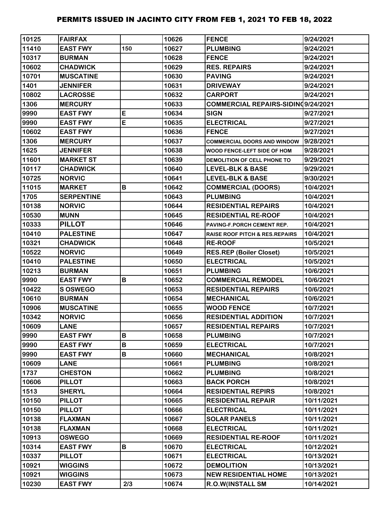| 10125 | <b>FAIRFAX</b>    |     | 10626 | <b>FENCE</b>                              | 9/24/2021  |
|-------|-------------------|-----|-------|-------------------------------------------|------------|
| 11410 | <b>EAST FWY</b>   | 150 | 10627 | <b>PLUMBING</b>                           | 9/24/2021  |
| 10317 | <b>BURMAN</b>     |     | 10628 | <b>FENCE</b>                              | 9/24/2021  |
| 10602 | <b>CHADWICK</b>   |     | 10629 | <b>RES. REPAIRS</b>                       | 9/24/2021  |
| 10701 | <b>MUSCATINE</b>  |     | 10630 | <b>PAVING</b>                             | 9/24/2021  |
| 1401  | <b>JENNIFER</b>   |     | 10631 | <b>DRIVEWAY</b>                           | 9/24/2021  |
| 10802 | <b>LACROSSE</b>   |     | 10632 | <b>CARPORT</b>                            | 9/24/2021  |
| 1306  | <b>MERCURY</b>    |     | 10633 | COMMERCIAL REPAIRS-SIDINQ9/24/2021        |            |
| 9990  | <b>EAST FWY</b>   | E   | 10634 | <b>SIGN</b>                               | 9/27/2021  |
| 9990  | <b>EAST FWY</b>   | E   | 10635 | <b>ELECTRICAL</b>                         | 9/27/2021  |
| 10602 | <b>EAST FWY</b>   |     | 10636 | <b>FENCE</b>                              | 9/27/2021  |
| 1306  | <b>MERCURY</b>    |     | 10637 | <b>COMMERCIAL DOORS AND WINDOW</b>        | 9/28/2021  |
| 1625  | <b>JENNIFER</b>   |     | 10638 | WOOD FENCE-LEFT SIDE OF HOM               | 9/28/2021  |
| 11601 | <b>MARKET ST</b>  |     | 10639 | DEMOLITION OF CELL PHONE TO               | 9/29/2021  |
| 10117 | <b>CHADWICK</b>   |     | 10640 | <b>LEVEL-BLK &amp; BASE</b>               | 9/29/2021  |
| 10725 | <b>NORVIC</b>     |     | 10641 | <b>LEVEL-BLK &amp; BASE</b>               | 9/30/2021  |
| 11015 | <b>MARKET</b>     | B   | 10642 | <b>COMMERCIAL (DOORS)</b>                 | 10/4/2021  |
| 1705  | <b>SERPENTINE</b> |     | 10643 | <b>PLUMBING</b>                           | 10/4/2021  |
| 10138 | <b>NORVIC</b>     |     | 10644 | <b>RESIDENTIAL REPAIRS</b>                | 10/4/2021  |
| 10530 | <b>MUNN</b>       |     | 10645 | <b>RESIDENTIAL RE-ROOF</b>                | 10/4/2021  |
| 10333 | <b>PILLOT</b>     |     | 10646 | PAVING-F.PORCH CEMENT REP.                | 10/4/2021  |
| 10410 | <b>PALESTINE</b>  |     | 10647 | <b>RAISE ROOF PITCH &amp; RES.REPAIRS</b> | 10/4/2021  |
| 10321 | <b>CHADWICK</b>   |     | 10648 | <b>RE-ROOF</b>                            | 10/5/2021  |
| 10522 | <b>NORVIC</b>     |     | 10649 | <b>RES.REP (Boiler Closet)</b>            | 10/5/2021  |
| 10410 | <b>PALESTINE</b>  |     | 10650 | <b>ELECTRICAL</b>                         | 10/5/2021  |
| 10213 | <b>BURMAN</b>     |     | 10651 | <b>PLUMBING</b>                           | 10/6/2021  |
| 9990  | <b>EAST FWY</b>   | B   | 10652 | <b>COMMERCIAL REMODEL</b>                 | 10/6/2021  |
| 10422 | S OSWEGO          |     | 10653 | <b>RESIDENTIAL REPAIRS</b>                | 10/6/2021  |
| 10610 | <b>BURMAN</b>     |     | 10654 | <b>MECHANICAL</b>                         | 10/6/2021  |
| 10906 | <b>MUSCATINE</b>  |     | 10655 | <b>WOOD FENCE</b>                         | 10/7/2021  |
| 10342 | <b>NORVIC</b>     |     | 10656 | <b>RESIDENTIAL ADDITION</b>               | 10/7/2021  |
| 10609 | <b>LANE</b>       |     | 10657 | <b>RESIDENTIAL REPAIRS</b>                | 10/7/2021  |
| 9990  | <b>EAST FWY</b>   | B   | 10658 | <b>PLUMBING</b>                           | 10/7/2021  |
| 9990  | <b>EAST FWY</b>   | В   | 10659 | <b>ELECTRICAL</b>                         | 10/7/2021  |
| 9990  | <b>EAST FWY</b>   | В   | 10660 | <b>MECHANICAL</b>                         | 10/8/2021  |
| 10609 | <b>LANE</b>       |     | 10661 | <b>PLUMBING</b>                           | 10/8/2021  |
| 1737  | <b>CHESTON</b>    |     | 10662 | <b>PLUMBING</b>                           | 10/8/2021  |
| 10606 | <b>PILLOT</b>     |     | 10663 | <b>BACK PORCH</b>                         | 10/8/2021  |
| 1513  | <b>SHERYL</b>     |     | 10664 | <b>RESIDENTIAL REPIRS</b>                 | 10/8/2021  |
| 10150 | <b>PILLOT</b>     |     | 10665 | <b>RESIDENTIAL REPAIR</b>                 | 10/11/2021 |
| 10150 | <b>PILLOT</b>     |     | 10666 | <b>ELECTRICAL</b>                         | 10/11/2021 |
| 10138 | <b>FLAXMAN</b>    |     | 10667 | <b>SOLAR PANELS</b>                       | 10/11/2021 |
| 10138 | <b>FLAXMAN</b>    |     | 10668 | <b>ELECTRICAL</b>                         | 10/11/2021 |
| 10913 | <b>OSWEGO</b>     |     | 10669 | <b>RESIDENTIAL RE-ROOF</b>                | 10/11/2021 |
| 10314 | <b>EAST FWY</b>   | B   | 10670 | <b>ELECTRICAL</b>                         | 10/12/2021 |
| 10337 | <b>PILLOT</b>     |     | 10671 | <b>ELECTRICAL</b>                         | 10/13/2021 |
| 10921 | <b>WIGGINS</b>    |     | 10672 | <b>DEMOLITION</b>                         | 10/13/2021 |
| 10921 | <b>WIGGINS</b>    |     | 10673 | <b>NEW RESIDENTIAL HOME</b>               | 10/13/2021 |
| 10230 | <b>EAST FWY</b>   | 2/3 | 10674 | R.O.W(INSTALL SM                          | 10/14/2021 |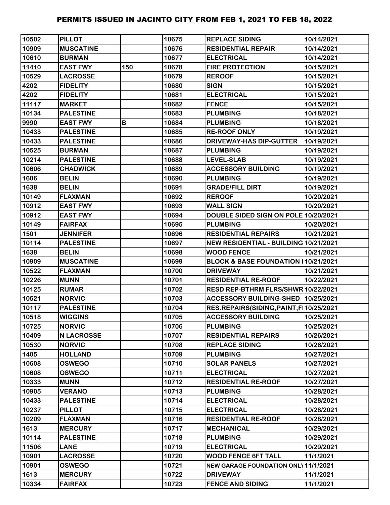| 10502 | <b>PILLOT</b>     |     | 10675 | <b>REPLACE SIDING</b>                     | 10/14/2021 |
|-------|-------------------|-----|-------|-------------------------------------------|------------|
| 10909 | <b>MUSCATINE</b>  |     | 10676 | <b>RESIDENTIAL REPAIR</b>                 | 10/14/2021 |
| 10610 | <b>BURMAN</b>     |     | 10677 | <b>ELECTRICAL</b>                         | 10/14/2021 |
| 11410 | <b>EAST FWY</b>   | 150 | 10678 | <b>FIRE PROTECTION</b>                    | 10/15/2021 |
| 10529 | <b>LACROSSE</b>   |     | 10679 | <b>REROOF</b>                             | 10/15/2021 |
| 4202  | <b>FIDELITY</b>   |     | 10680 | <b>SIGN</b>                               | 10/15/2021 |
| 4202  | <b>FIDELITY</b>   |     | 10681 | <b>ELECTRICAL</b>                         | 10/15/2021 |
| 11117 | <b>MARKET</b>     |     | 10682 | <b>FENCE</b>                              | 10/15/2021 |
| 10134 | <b>PALESTINE</b>  |     | 10683 | <b>PLUMBING</b>                           | 10/18/2021 |
| 9990  | <b>EAST FWY</b>   | B   | 10684 | <b>PLUMBING</b>                           | 10/18/2021 |
| 10433 | <b>PALESTINE</b>  |     | 10685 | <b>RE-ROOF ONLY</b>                       | 10/19/2021 |
| 10433 | <b>PALESTINE</b>  |     | 10686 | <b>DRIVEWAY-HAS DIP-GUTTER</b>            | 10/19/2021 |
| 10525 | <b>BURMAN</b>     |     | 10687 | <b>PLUMBING</b>                           | 10/19/2021 |
| 10214 | <b>PALESTINE</b>  |     | 10688 | <b>LEVEL-SLAB</b>                         | 10/19/2021 |
| 10606 | <b>CHADWICK</b>   |     | 10689 | <b>ACCESSORY BUILDING</b>                 | 10/19/2021 |
| 1606  | <b>BELIN</b>      |     | 10690 | <b>PLUMBING</b>                           | 10/19/2021 |
| 1638  | <b>BELIN</b>      |     | 10691 | <b>GRADE/FILL DIRT</b>                    | 10/19/2021 |
| 10149 | <b>FLAXMAN</b>    |     | 10692 | <b>REROOF</b>                             | 10/20/2021 |
| 10912 | <b>EAST FWY</b>   |     | 10693 | <b>WALL SIGN</b>                          | 10/20/2021 |
| 10912 | <b>EAST FWY</b>   |     | 10694 | DOUBLE SIDED SIGN ON POLE 10/20/2021      |            |
| 10149 | <b>FAIRFAX</b>    |     | 10695 | <b>PLUMBING</b>                           | 10/20/2021 |
| 1501  | <b>JENNIFER</b>   |     | 10696 | <b>RESIDENTIAL REPAIRS</b>                | 10/21/2021 |
| 10114 | <b>PALESTINE</b>  |     | 10697 | NEW RESIDENTIAL - BUILDING 10/21/2021     |            |
| 1638  | <b>BELIN</b>      |     | 10698 | <b>WOOD FENCE</b>                         | 10/21/2021 |
| 10909 | <b>MUSCATINE</b>  |     | 10699 | BLOCK & BASE FOUNDATION (10/21/2021       |            |
| 10522 | <b>FLAXMAN</b>    |     | 10700 | <b>DRIVEWAY</b>                           | 10/21/2021 |
| 10226 | <b>MUNN</b>       |     | 10701 | <b>RESIDENTIAL RE-ROOF</b>                | 10/22/2021 |
| 10125 | <b>RUMAR</b>      |     | 10702 | RESD REP-BTHRM FLRS/SHWR 10/22/2021       |            |
| 10521 | <b>NORVIC</b>     |     | 10703 | ACCESSORY BUILDING-SHED 10/25/2021        |            |
| 10117 | <b>PALESTINE</b>  |     | 10704 | RES.REPAIRS(SIDING, PAINT, F   10/25/2021 |            |
| 10518 | <b>WIGGINS</b>    |     | 10705 | <b>ACCESSORY BUILDING</b>                 | 10/25/2021 |
| 10725 | <b>NORVIC</b>     |     | 10706 | <b>PLUMBING</b>                           | 10/25/2021 |
| 10409 | <b>N LACROSSE</b> |     | 10707 | <b>RESIDENTIAL REPAIRS</b>                | 10/26/2021 |
| 10530 | <b>NORVIC</b>     |     | 10708 | <b>REPLACE SIDING</b>                     | 10/26/2021 |
| 1405  | <b>HOLLAND</b>    |     | 10709 | <b>PLUMBING</b>                           | 10/27/2021 |
| 10608 | <b>OSWEGO</b>     |     | 10710 | <b>SOLAR PANELS</b>                       | 10/27/2021 |
| 10608 | <b>OSWEGO</b>     |     | 10711 | <b>ELECTRICAL</b>                         | 10/27/2021 |
| 10333 | <b>MUNN</b>       |     | 10712 | <b>RESIDENTIAL RE-ROOF</b>                | 10/27/2021 |
| 10905 | <b>VERANO</b>     |     | 10713 | <b>PLUMBING</b>                           | 10/28/2021 |
| 10433 | <b>PALESTINE</b>  |     | 10714 | <b>ELECTRICAL</b>                         | 10/28/2021 |
| 10237 | <b>PILLOT</b>     |     | 10715 | <b>ELECTRICAL</b>                         | 10/28/2021 |
| 10209 | <b>FLAXMAN</b>    |     | 10716 | <b>RESIDENTIAL RE-ROOF</b>                | 10/28/2021 |
| 1613  | <b>MERCURY</b>    |     | 10717 | <b>MECHANICAL</b>                         | 10/29/2021 |
| 10114 | <b>PALESTINE</b>  |     | 10718 | <b>PLUMBING</b>                           | 10/29/2021 |
| 11506 | <b>LANE</b>       |     | 10719 | <b>ELECTRICAL</b>                         | 10/29/2021 |
| 10901 | <b>LACROSSE</b>   |     | 10720 | <b>WOOD FENCE 6FT TALL</b>                | 11/1/2021  |
| 10901 | <b>OSWEGO</b>     |     | 10721 | NEW GARAGE FOUNDATION ONL 11/1/2021       |            |
| 1613  | <b>MERCURY</b>    |     | 10722 | <b>DRIVEWAY</b>                           | 11/1/2021  |
| 10334 | <b>FAIRFAX</b>    |     | 10723 | <b>FENCE AND SIDING</b>                   | 11/1/2021  |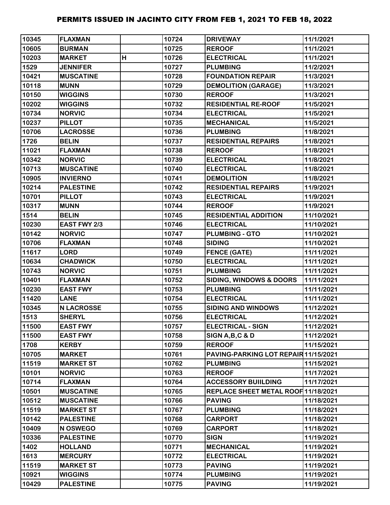| 10345 | <b>FLAXMAN</b>    |   | 10724 | <b>DRIVEWAY</b>                      | 11/1/2021  |
|-------|-------------------|---|-------|--------------------------------------|------------|
| 10605 | <b>BURMAN</b>     |   | 10725 | <b>REROOF</b>                        | 11/1/2021  |
| 10203 | <b>MARKET</b>     | H | 10726 | <b>ELECTRICAL</b>                    | 11/1/2021  |
| 1529  | <b>JENNIFER</b>   |   | 10727 | <b>PLUMBING</b>                      | 11/2/2021  |
| 10421 | <b>MUSCATINE</b>  |   | 10728 | <b>FOUNDATION REPAIR</b>             | 11/3/2021  |
| 10118 | <b>MUNN</b>       |   | 10729 | <b>DEMOLITION (GARAGE)</b>           | 11/3/2021  |
| 10150 | <b>WIGGINS</b>    |   | 10730 | <b>REROOF</b>                        | 11/3/2021  |
| 10202 | <b>WIGGINS</b>    |   | 10732 | <b>RESIDENTIAL RE-ROOF</b>           | 11/5/2021  |
| 10734 | <b>NORVIC</b>     |   | 10734 | <b>ELECTRICAL</b>                    | 11/5/2021  |
| 10237 | <b>PILLOT</b>     |   | 10735 | <b>MECHANICAL</b>                    | 11/5/2021  |
| 10706 | <b>LACROSSE</b>   |   | 10736 | <b>PLUMBING</b>                      | 11/8/2021  |
| 1726  | <b>BELIN</b>      |   | 10737 | <b>RESIDENTIAL REPAIRS</b>           | 11/8/2021  |
| 11021 | <b>FLAXMAN</b>    |   | 10738 | <b>REROOF</b>                        | 11/8/2021  |
| 10342 | <b>NORVIC</b>     |   | 10739 | <b>ELECTRICAL</b>                    | 11/8/2021  |
| 10713 | <b>MUSCATINE</b>  |   | 10740 | <b>ELECTRICAL</b>                    | 11/8/2021  |
| 10905 | <b>INVIERNO</b>   |   | 10741 | <b>DEMOLITION</b>                    | 11/8/2021  |
| 10214 | <b>PALESTINE</b>  |   | 10742 | <b>RESIDENTIAL REPAIRS</b>           | 11/9/2021  |
| 10701 | <b>PILLOT</b>     |   | 10743 | <b>ELECTRICAL</b>                    | 11/9/2021  |
| 10317 | <b>MUNN</b>       |   | 10744 | <b>REROOF</b>                        | 11/9/2021  |
| 1514  | <b>BELIN</b>      |   | 10745 | <b>RESIDENTIAL ADDITION</b>          | 11/10/2021 |
| 10230 | EAST FWY 2/3      |   | 10746 | <b>ELECTRICAL</b>                    | 11/10/2021 |
| 10142 | <b>NORVIC</b>     |   | 10747 | <b>PLUMBING - GTO</b>                | 11/10/2021 |
| 10706 | <b>FLAXMAN</b>    |   | 10748 | <b>SIDING</b>                        | 11/10/2021 |
| 11617 | <b>LORD</b>       |   | 10749 | <b>FENCE (GATE)</b>                  | 11/11/2021 |
| 10634 | <b>CHADWICK</b>   |   | 10750 | <b>ELECTRICAL</b>                    | 11/11/2021 |
| 10743 | <b>NORVIC</b>     |   | 10751 | <b>PLUMBING</b>                      | 11/11/2021 |
| 10401 | <b>FLAXMAN</b>    |   | 10752 | <b>SIDING, WINDOWS &amp; DOORS</b>   | 11/11/2021 |
| 10230 | <b>EAST FWY</b>   |   | 10753 | <b>PLUMBING</b>                      | 11/11/2021 |
| 11420 | <b>LANE</b>       |   | 10754 | <b>ELECTRICAL</b>                    | 11/11/2021 |
| 10345 | <b>N LACROSSE</b> |   | 10755 | <b>SIDING AND WINDOWS</b>            | 11/12/2021 |
| 1513  | <b>SHERYL</b>     |   | 10756 | <b>ELECTRICAL</b>                    | 11/12/2021 |
| 11500 | <b>EAST FWY</b>   |   | 10757 | <b>ELECTRICAL - SIGN</b>             | 11/12/2021 |
| 11500 | <b>EAST FWY</b>   |   | 10758 | SIGN A, B, C & D                     | 11/12/2021 |
| 1708  | <b>KERBY</b>      |   | 10759 | <b>REROOF</b>                        | 11/15/2021 |
| 10705 | <b>MARKET</b>     |   | 10761 | PAVING-PARKING LOT REPAIR 11/15/2021 |            |
| 11519 | <b>MARKET ST</b>  |   | 10762 | <b>PLUMBING</b>                      | 11/15/2021 |
| 10101 | <b>NORVIC</b>     |   | 10763 | <b>REROOF</b>                        | 11/17/2021 |
| 10714 | <b>FLAXMAN</b>    |   | 10764 | <b>ACCESSORY BUIILDING</b>           | 11/17/2021 |
| 10501 | <b>MUSCATINE</b>  |   | 10765 | REPLACE SHEET METAL ROOF 11/18/2021  |            |
| 10512 | <b>MUSCATINE</b>  |   | 10766 | <b>PAVING</b>                        | 11/18/2021 |
| 11519 | <b>MARKET ST</b>  |   | 10767 | <b>PLUMBING</b>                      | 11/18/2021 |
| 10142 | <b>PALESTINE</b>  |   | 10768 | <b>CARPORT</b>                       | 11/18/2021 |
| 10409 | N OSWEGO          |   | 10769 | <b>CARPORT</b>                       | 11/18/2021 |
| 10336 | <b>PALESTINE</b>  |   | 10770 | <b>SIGN</b>                          | 11/19/2021 |
| 1402  | <b>HOLLAND</b>    |   | 10771 | <b>MECHANICAL</b>                    | 11/19/2021 |
| 1613  | <b>MERCURY</b>    |   | 10772 | <b>ELECTRICAL</b>                    | 11/19/2021 |
| 11519 | <b>MARKET ST</b>  |   | 10773 | <b>PAVING</b>                        | 11/19/2021 |
| 10921 | <b>WIGGINS</b>    |   | 10774 | <b>PLUMBING</b>                      | 11/19/2021 |
| 10429 | <b>PALESTINE</b>  |   | 10775 | <b>PAVING</b>                        | 11/19/2021 |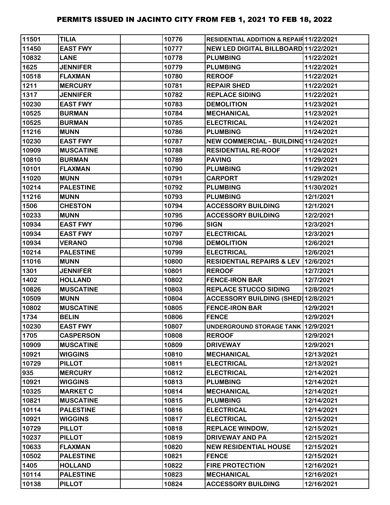| 11501 | <b>TILIA</b>     | 10776 | <b>RESIDENTIAL ADDITION &amp; REPAIR11/22/2021</b> |            |
|-------|------------------|-------|----------------------------------------------------|------------|
| 11450 | <b>EAST FWY</b>  | 10777 | NEW LED DIGITAL BILLBOARD 11/22/2021               |            |
| 10832 | <b>LANE</b>      | 10778 | <b>PLUMBING</b>                                    | 11/22/2021 |
| 1625  | <b>JENNIFER</b>  | 10779 | <b>PLUMBING</b>                                    | 11/22/2021 |
| 10518 | <b>FLAXMAN</b>   | 10780 | <b>REROOF</b>                                      | 11/22/2021 |
| 1211  | <b>MERCURY</b>   | 10781 | <b>REPAIR SHED</b>                                 | 11/22/2021 |
| 1317  | <b>JENNIFER</b>  | 10782 | <b>REPLACE SIDING</b>                              | 11/22/2021 |
| 10230 | <b>EAST FWY</b>  | 10783 | <b>DEMOLITION</b>                                  | 11/23/2021 |
| 10525 | <b>BURMAN</b>    | 10784 | <b>MECHANICAL</b>                                  | 11/23/2021 |
| 10525 | <b>BURMAN</b>    | 10785 | <b>ELECTRICAL</b>                                  | 11/24/2021 |
| 11216 | <b>MUNN</b>      | 10786 | <b>PLUMBING</b>                                    | 11/24/2021 |
| 10230 | <b>EAST FWY</b>  | 10787 | NEW COMMERCIAL - BUILDING 11/24/2021               |            |
| 10909 | <b>MUSCATINE</b> | 10788 | <b>RESIDENTIAL RE-ROOF</b>                         | 11/24/2021 |
| 10810 | <b>BURMAN</b>    | 10789 | <b>PAVING</b>                                      | 11/29/2021 |
| 10101 | <b>FLAXMAN</b>   | 10790 | <b>PLUMBING</b>                                    | 11/29/2021 |
| 11020 | <b>MUNN</b>      | 10791 | <b>CARPORT</b>                                     | 11/29/2021 |
| 10214 | <b>PALESTINE</b> | 10792 | <b>PLUMBING</b>                                    | 11/30/2021 |
| 11216 | <b>MUNN</b>      | 10793 | <b>PLUMBING</b>                                    | 12/1/2021  |
| 1506  | <b>CHESTON</b>   | 10794 | <b>ACCESSORY BUILDING</b>                          | 12/1/2021  |
| 10233 | <b>MUNN</b>      | 10795 | <b>ACCESSORY BUILDING</b>                          | 12/2/2021  |
| 10934 | <b>EAST FWY</b>  | 10796 | <b>SIGN</b>                                        | 12/3/2021  |
| 10934 | <b>EAST FWY</b>  | 10797 | <b>ELECTRICAL</b>                                  | 12/3/2021  |
| 10934 | <b>VERANO</b>    | 10798 | <b>DEMOLITION</b>                                  | 12/6/2021  |
| 10214 | <b>PALESTINE</b> | 10799 | <b>ELECTRICAL</b>                                  | 12/6/2021  |
| 11016 | <b>MUNN</b>      | 10800 | RESIDENTIAL REPAIRS & LEV 12/6/2021                |            |
| 1301  | <b>JENNIFER</b>  | 10801 | <b>REROOF</b>                                      | 12/7/2021  |
| 1402  | <b>HOLLAND</b>   | 10802 | <b>FENCE-IRON BAR</b>                              | 12/7/2021  |
| 10826 | <b>MUSCATINE</b> | 10803 | <b>REPLACE STUCCO SIDING</b>                       | 12/8/2021  |
| 10509 | <b>MUNN</b>      | 10804 | ACCESSORY BUILDING (SHED) 12/8/2021                |            |
| 10802 | <b>MUSCATINE</b> | 10805 | <b>FENCE-IRON BAR</b>                              | 12/9/2021  |
| 1734  | <b>BELIN</b>     | 10806 | <b>FENCE</b>                                       | 12/9/2021  |
| 10230 | <b>EAST FWY</b>  | 10807 | UNDERGROUND STORAGE TANK 12/9/2021                 |            |
| 1705  | <b>CASPERSON</b> | 10808 | <b>REROOF</b>                                      | 12/9/2021  |
| 10909 | <b>MUSCATINE</b> | 10809 | <b>DRIVEWAY</b>                                    | 12/9/2021  |
| 10921 | <b>WIGGINS</b>   | 10810 | <b>MECHANICAL</b>                                  | 12/13/2021 |
| 10729 | <b>PILLOT</b>    | 10811 | <b>ELECTRICAL</b>                                  | 12/13/2021 |
| 935   | <b>MERCURY</b>   | 10812 | <b>ELECTRICAL</b>                                  | 12/14/2021 |
| 10921 | <b>WIGGINS</b>   | 10813 | <b>PLUMBING</b>                                    | 12/14/2021 |
| 10325 | <b>MARKET C</b>  | 10814 | <b>MECHANICAL</b>                                  | 12/14/2021 |
| 10821 | <b>MUSCATINE</b> | 10815 | <b>PLUMBING</b>                                    | 12/14/2021 |
| 10114 | <b>PALESTINE</b> | 10816 | <b>ELECTRICAL</b>                                  | 12/14/2021 |
| 10921 | <b>WIGGINS</b>   | 10817 | <b>ELECTRICAL</b>                                  | 12/15/2021 |
| 10729 | <b>PILLOT</b>    | 10818 | <b>REPLACE WINDOW,</b>                             | 12/15/2021 |
| 10237 | <b>PILLOT</b>    | 10819 | <b>DRIVEWAY AND PA</b>                             | 12/15/2021 |
| 10633 | <b>FLAXMAN</b>   | 10820 | <b>NEW RESIDENTIAL HOUSE</b>                       | 12/15/2021 |
| 10502 | <b>PALESTINE</b> | 10821 | <b>FENCE</b>                                       | 12/15/2021 |
| 1405  | <b>HOLLAND</b>   | 10822 | <b>FIRE PROTECTION</b>                             | 12/16/2021 |
| 10114 | <b>PALESTINE</b> | 10823 | <b>MECHANICAL</b>                                  | 12/16/2021 |
| 10138 | <b>PILLOT</b>    | 10824 | <b>ACCESSORY BUILDING</b>                          | 12/16/2021 |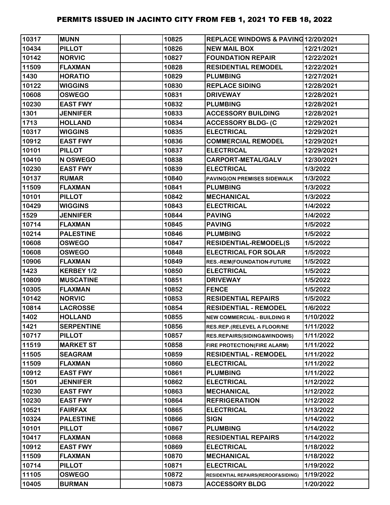| 10317 | <b>MUNN</b>       | 10825 | REPLACE WINDOWS & PAVING12/20/2021 |            |
|-------|-------------------|-------|------------------------------------|------------|
| 10434 | <b>PILLOT</b>     | 10826 | <b>NEW MAIL BOX</b>                | 12/21/2021 |
| 10142 | <b>NORVIC</b>     | 10827 | <b>FOUNDATION REPAIR</b>           | 12/22/2021 |
| 11509 | <b>FLAXMAN</b>    | 10828 | <b>RESIDENTIAL REMODEL</b>         | 12/22/2021 |
| 1430  | <b>HORATIO</b>    | 10829 | <b>PLUMBING</b>                    | 12/27/2021 |
| 10122 | <b>WIGGINS</b>    | 10830 | <b>REPLACE SIDING</b>              | 12/28/2021 |
| 10608 | <b>OSWEGO</b>     | 10831 | <b>DRIVEWAY</b>                    | 12/28/2021 |
| 10230 | <b>EAST FWY</b>   | 10832 | <b>PLUMBING</b>                    | 12/28/2021 |
| 1301  | <b>JENNIFER</b>   | 10833 | <b>ACCESSORY BUILDING</b>          | 12/28/2021 |
| 1713  | <b>HOLLAND</b>    | 10834 | <b>ACCESSORY BLDG- (C</b>          | 12/29/2021 |
| 10317 | <b>WIGGINS</b>    | 10835 | <b>ELECTRICAL</b>                  | 12/29/2021 |
| 10912 | <b>EAST FWY</b>   | 10836 | <b>COMMERCIAL REMODEL</b>          | 12/29/2021 |
| 10101 | <b>PILLOT</b>     | 10837 | <b>ELECTRICAL</b>                  | 12/29/2021 |
| 10410 | N OSWEGO          | 10838 | <b>CARPORT-METAL/GALV</b>          | 12/30/2021 |
| 10230 | <b>EAST FWY</b>   | 10839 | <b>ELECTRICAL</b>                  | 1/3/2022   |
| 10137 | <b>RUMAR</b>      | 10840 | PAVING(ON PREMISES SIDEWALK        | 1/3/2022   |
| 11509 | <b>FLAXMAN</b>    | 10841 | <b>PLUMBING</b>                    | 1/3/2022   |
| 10101 | <b>PILLOT</b>     | 10842 | <b>MECHANICAL</b>                  | 1/3/2022   |
| 10429 | <b>WIGGINS</b>    | 10843 | <b>ELECTRICAL</b>                  | 1/4/2022   |
| 1529  | <b>JENNIFER</b>   | 10844 | <b>PAVING</b>                      | 1/4/2022   |
| 10714 | <b>FLAXMAN</b>    | 10845 | <b>PAVING</b>                      | 1/5/2022   |
| 10214 | <b>PALESTINE</b>  | 10846 | <b>PLUMBING</b>                    | 1/5/2022   |
| 10608 | <b>OSWEGO</b>     | 10847 | <b>RESIDENTIAL-REMODEL(S</b>       | 1/5/2022   |
| 10608 | <b>OSWEGO</b>     | 10848 | <b>ELECTRICAL FOR SOLAR</b>        | 1/5/2022   |
| 10906 | <b>FLAXMAN</b>    | 10849 | RES.-REM(FOUNDATION-FUTURE         | 1/5/2022   |
| 1423  | KERBEY 1/2        | 10850 | <b>ELECTRICAL</b>                  | 1/5/2022   |
| 10809 | <b>MUSCATINE</b>  | 10851 | <b>DRIVEWAY</b>                    | 1/5/2022   |
| 10305 | <b>FLAXMAN</b>    | 10852 | <b>FENCE</b>                       | 1/5/2022   |
| 10142 | <b>NORVIC</b>     | 10853 | <b>RESIDENTIAL REPAIRS</b>         | 1/5/2022   |
| 10814 | <b>LACROSSE</b>   | 10854 | <b>RESIDENTIAL - REMODEL</b>       | 1/6/2022   |
| 1402  | <b>HOLLAND</b>    | 10855 | <b>NEW COMMERCIAL - BUILDING R</b> | 1/10/2022  |
| 1421  | <b>SERPENTINE</b> | 10856 | RES.REP.(RELEVEL A FLOOR/NE        | 1/11/2022  |
| 10717 | <b>PILLOT</b>     | 10857 | RES.REPAIRS(SIDING&WINDOWS)        | 1/11/2022  |
| 11519 | <b>MARKET ST</b>  | 10858 | FIRE PROTECTION(FIRE ALARM)        | 1/11/2022  |
| 11505 | <b>SEAGRAM</b>    | 10859 | <b>RESIDENTIAL - REMODEL</b>       | 1/11/2022  |
| 11509 | <b>FLAXMAN</b>    | 10860 | <b>ELECTRICAL</b>                  | 1/11/2022  |
| 10912 | <b>EAST FWY</b>   | 10861 | <b>PLUMBING</b>                    | 1/11/2022  |
| 1501  | <b>JENNIFER</b>   | 10862 | <b>ELECTRICAL</b>                  | 1/12/2022  |
| 10230 | <b>EAST FWY</b>   | 10863 | <b>MECHANICAL</b>                  | 1/12/2022  |
| 10230 | <b>EAST FWY</b>   | 10864 | <b>REFRIGERATION</b>               | 1/12/2022  |
| 10521 | <b>FAIRFAX</b>    | 10865 | <b>ELECTRICAL</b>                  | 1/13/2022  |
| 10324 | <b>PALESTINE</b>  | 10866 | <b>SIGN</b>                        | 1/14/2022  |
| 10101 | <b>PILLOT</b>     | 10867 | <b>PLUMBING</b>                    | 1/14/2022  |
| 10417 | <b>FLAXMAN</b>    | 10868 | <b>RESIDENTIAL REPAIRS</b>         | 1/14/2022  |
| 10912 | <b>EAST FWY</b>   | 10869 | <b>ELECTRICAL</b>                  | 1/18/2022  |
| 11509 | <b>FLAXMAN</b>    | 10870 | <b>MECHANICAL</b>                  | 1/18/2022  |
| 10714 | <b>PILLOT</b>     | 10871 | <b>ELECTRICAL</b>                  | 1/19/2022  |
| 11105 | <b>OSWEGO</b>     | 10872 | RESIDENTIAL REPAIRS(REROOF&SIDING) | 1/19/2022  |
| 10405 | <b>BURMAN</b>     | 10873 | <b>ACCESSORY BLDG</b>              | 1/20/2022  |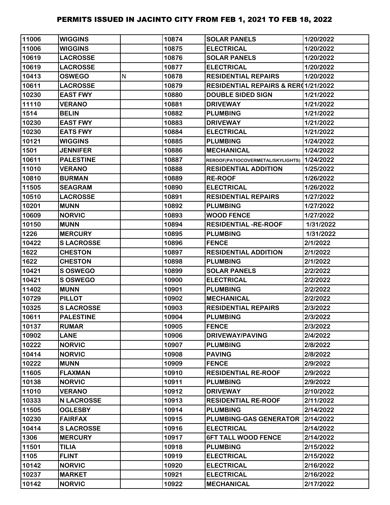| 11006 | <b>WIGGINS</b>    |   | 10874 | <b>SOLAR PANELS</b>                            | 1/20/2022 |
|-------|-------------------|---|-------|------------------------------------------------|-----------|
| 11006 | <b>WIGGINS</b>    |   | 10875 | <b>ELECTRICAL</b>                              | 1/20/2022 |
| 10619 | <b>LACROSSE</b>   |   | 10876 | <b>SOLAR PANELS</b>                            | 1/20/2022 |
| 10619 | <b>LACROSSE</b>   |   | 10877 | <b>ELECTRICAL</b>                              | 1/20/2022 |
| 10413 | <b>OSWEGO</b>     | N | 10878 | <b>RESIDENTIAL REPAIRS</b>                     | 1/20/2022 |
| 10611 | <b>LACROSSE</b>   |   | 10879 | <b>RESIDENTIAL REPAIRS &amp; RER01/21/2022</b> |           |
| 10230 | <b>EAST FWY</b>   |   | 10880 | <b>DOUBLE SIDED SIGN</b>                       | 1/21/2022 |
| 11110 | <b>VERANO</b>     |   | 10881 | <b>DRIVEWAY</b>                                | 1/21/2022 |
| 1514  | <b>BELIN</b>      |   | 10882 | <b>PLUMBING</b>                                | 1/21/2022 |
| 10230 | <b>EAST FWY</b>   |   | 10883 | <b>DRIVEWAY</b>                                | 1/21/2022 |
| 10230 | <b>EATS FWY</b>   |   | 10884 | <b>ELECTRICAL</b>                              | 1/21/2022 |
| 10121 | <b>WIGGINS</b>    |   | 10885 | <b>PLUMBING</b>                                | 1/24/2022 |
| 1501  | <b>JENNIFER</b>   |   | 10886 | <b>MECHANICAL</b>                              | 1/24/2022 |
| 10611 | <b>PALESTINE</b>  |   | 10887 | REROOF(PATIOCOVERMETAL/SKYLIGHTS)              | 1/24/2022 |
| 11010 | <b>VERANO</b>     |   | 10888 | <b>RESIDENTIAL ADDITION</b>                    | 1/25/2022 |
| 10810 | <b>BURMAN</b>     |   | 10889 | <b>RE-ROOF</b>                                 | 1/26/2022 |
| 11505 | <b>SEAGRAM</b>    |   | 10890 | <b>ELECTRICAL</b>                              | 1/26/2022 |
| 10510 | <b>LACROSSE</b>   |   | 10891 | <b>RESIDENTIAL REPAIRS</b>                     | 1/27/2022 |
| 10201 | <b>MUNN</b>       |   | 10892 | <b>PLUMBING</b>                                | 1/27/2022 |
| 10609 | <b>NORVIC</b>     |   | 10893 | <b>WOOD FENCE</b>                              | 1/27/2022 |
| 10150 | <b>MUNN</b>       |   | 10894 | <b>RESIDENTIAL -RE-ROOF</b>                    | 1/31/2022 |
| 1226  | <b>MERCURY</b>    |   | 10895 | <b>PLUMBING</b>                                | 1/31/2022 |
| 10422 | <b>SLACROSSE</b>  |   | 10896 | <b>FENCE</b>                                   | 2/1/2022  |
| 1622  | <b>CHESTON</b>    |   | 10897 | <b>RESIDENTIAL ADDITION</b>                    | 2/1/2022  |
| 1622  | <b>CHESTON</b>    |   | 10898 | <b>PLUMBING</b>                                | 2/1/2022  |
| 10421 | S OSWEGO          |   | 10899 | <b>SOLAR PANELS</b>                            | 2/2/2022  |
| 10421 | S OSWEGO          |   | 10900 | <b>ELECTRICAL</b>                              | 2/2/2022  |
| 11402 | <b>MUNN</b>       |   | 10901 | <b>PLUMBING</b>                                | 2/2/2022  |
| 10729 | <b>PILLOT</b>     |   | 10902 | <b>MECHANICAL</b>                              | 2/2/2022  |
| 10325 | <b>SLACROSSE</b>  |   | 10903 | <b>RESIDENTIAL REPAIRS</b>                     | 2/3/2022  |
| 10611 | <b>PALESTINE</b>  |   | 10904 | <b>PLUMBING</b>                                | 2/3/2022  |
| 10137 | <b>RUMAR</b>      |   | 10905 | <b>FENCE</b>                                   | 2/3/2022  |
| 10902 | <b>LANE</b>       |   | 10906 | <b>DRIVEWAY/PAVING</b>                         | 2/4/2022  |
| 10222 | <b>NORVIC</b>     |   | 10907 | <b>PLUMBING</b>                                | 2/8/2022  |
| 10414 | <b>NORVIC</b>     |   | 10908 | <b>PAVING</b>                                  | 2/8/2022  |
| 10222 | <b>MUNN</b>       |   | 10909 | <b>FENCE</b>                                   | 2/9/2022  |
| 11605 | <b>FLAXMAN</b>    |   | 10910 | <b>RESIDENTIAL RE-ROOF</b>                     | 2/9/2022  |
| 10138 | <b>NORVIC</b>     |   | 10911 | <b>PLUMBING</b>                                | 2/9/2022  |
| 11010 | <b>VERANO</b>     |   | 10912 | <b>DRIVEWAY</b>                                | 2/10/2022 |
| 10333 | <b>N LACROSSE</b> |   | 10913 | <b>RESIDENTIAL RE-ROOF</b>                     | 2/11/2022 |
| 11505 | <b>OGLESBY</b>    |   | 10914 | <b>PLUMBING</b>                                | 2/14/2022 |
| 10230 | <b>FAIRFAX</b>    |   | 10915 | PLUMBING-GAS GENERATOR                         | 2/14/2022 |
| 10414 | <b>SLACROSSE</b>  |   | 10916 | <b>ELECTRICAL</b>                              | 2/14/2022 |
| 1306  | <b>MERCURY</b>    |   | 10917 | <b>6FT TALL WOOD FENCE</b>                     | 2/14/2022 |
| 11501 | <b>TILIA</b>      |   | 10918 | <b>PLUMBING</b>                                | 2/15/2022 |
| 1105  | <b>FLINT</b>      |   | 10919 | <b>ELECTRICAL</b>                              | 2/15/2022 |
| 10142 | <b>NORVIC</b>     |   | 10920 | <b>ELECTRICAL</b>                              | 2/16/2022 |
| 10237 | <b>MARKET</b>     |   | 10921 | <b>ELECTRICAL</b>                              | 2/16/2022 |
| 10142 | <b>NORVIC</b>     |   | 10922 | <b>MECHANICAL</b>                              | 2/17/2022 |